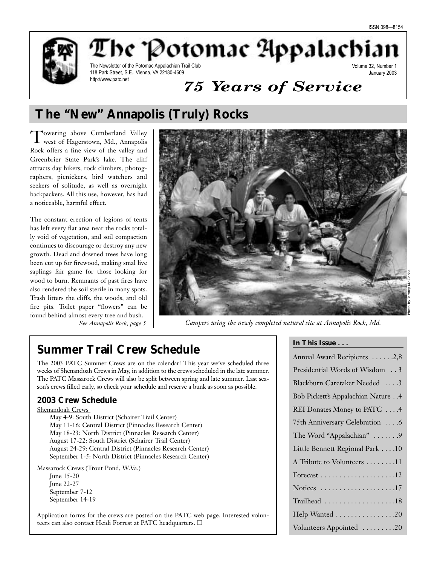Volume 32, Number 1 January 2003



The Potomac Appalachia The Newsletter of the Potomac Appalachian Trail Club 118 Park Street, S.E., Vienna, VA 22180-4609 http://www.patc.net

*75 Years of Service*

# **The "New" Annapolis (Truly) Rocks**

Towering above Cumberland Valley west of Hagerstown, Md., Annapolis Rock offers a fine view of the valley and Greenbrier State Park's lake. The cliff attracts day hikers, rock climbers, photographers, picnickers, bird watchers and seekers of solitude, as well as overnight backpackers. All this use, however, has had a noticeable, harmful effect.

The constant erection of legions of tents has left every flat area near the rocks totally void of vegetation, and soil compaction continues to discourage or destroy any new growth. Dead and downed trees have long been cut up for firewood, making smal live saplings fair game for those looking for wood to burn. Remnants of past fires have also rendered the soil sterile in many spots. Trash litters the cliffs, the woods, and old fire pits. Toilet paper "flowers" can be found behind almost every tree and bush.



*See Annapolis Rock, page 5 Campers using the newly completed natural site at Annapolis Rock, Md.*

# **Summer Trail Crew Schedule**

The 2003 PATC Summer Crews are on the calendar! This year we've scheduled three weeks of Shenandoah Crews in May, in addition to the crews scheduled in the late summer. The PATC Massarock Crews will also be split between spring and late summer. Last season's crews filled early, so check your schedule and reserve a bunk as soon as possible.

### **2003 Crew Schedule**

Shenandoah Crews

May 4-9: South District (Schairer Trail Center) May 11-16: Central District (Pinnacles Research Center) May 18-23: North District (Pinnacles Research Center) August 17-22: South District (Schairer Trail Center) August 24-29: Central District (Pinnacles Research Center) September 1-5: North District (Pinnacles Research Center)

Massarock Crews (Trout Pond, W.Va.)

June 15-20 June 22-27 September 7-12 September 14-19

Application forms for the crews are posted on the PATC web page. Interested volunteers can also contact Heidi Forrest at PATC headquarters. ❏

**In This Issue . . .**

| Annual Award Recipients 2,8        |
|------------------------------------|
| Presidential Words of Wisdom  3    |
| Blackburn Caretaker Needed 3       |
| Bob Pickett's Appalachian Nature 4 |
| REI Donates Money to PATC 4        |
| 75th Anniversary Celebration 6     |
| The Word "Appalachian"  9          |
| Little Bennett Regional Park 10    |
| A Tribute to Volunteers 11         |
|                                    |
| Notices 17                         |
| Trailhead 18                       |
| Help Wanted 20                     |
| Volunteers Appointed 20            |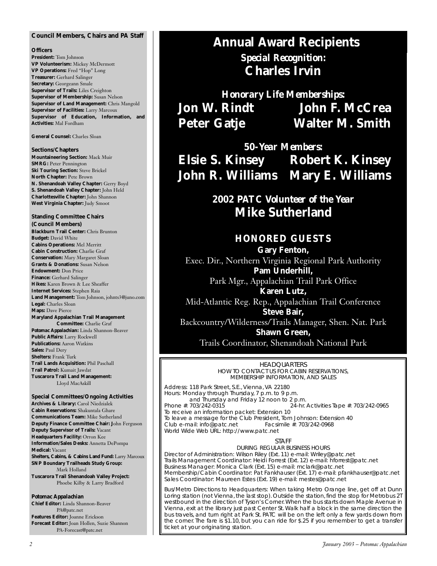#### **Council Members, Chairs and** *PA* **Staff**

#### **Officers**

**President:** Tom Johnson **VP Volunteerism:** Mickey McDermott **VP Operations:** Fred "Hop" Long **Treasurer:** Gerhard Salinger **Secretary:** Georgeann Smale **Supervisor of Trails:** Liles Creighton **Supervisor of Membership:** Susan Nelson **Supervisor of Land Management:** Chris Mangold **Supervisor of Facilities:** Larry Marcoux **Supervisor of Education, Information, and Activities:** Mal Fordham

**General Counsel:** Charles Sloan

#### **Sections/Chapters**

**Mountaineering Section:** Mack Muir **SMRG: Peter Pennington Ski Touring Section:** Steve Brickel **North Chapter:** Pete Brown **N. Shenandoah Valley Chapter:** Gerry Boyd **S. Shenandoah Valley Chapter:** John Held **Charlottesville Chapter:** John Shannon **West Virginia Chapter:** Judy Smoot

# **Standing Committee Chairs**

**(Council Members) Blackburn Trail Center:** Chris Brunton **Budget:** David White **Cabins Operations:** Mel Merritt **Cabin Construction:** Charlie Graf **Conservation:** Mary Margaret Sloan **Grants & Donations:** Susan Nelson **Endowment:** Don Price **Finance:** Gerhard Salinger **Hikes:** Karen Brown & Lee Sheaffer **Internet Services:** Stephen Raia **Land Management:** Tom Johnson, johnts3@juno.com **Legal:** Charles Sloan **Maps:** Dave Pierce **Maryland Appalachian Trail Management Committee:** Charlie Graf *Potomac Appalachian:* Linda Shannon-Beaver **Public Affairs:** Larry Rockwell **Publications:** Aaron Watkins **Sales:** Paul Dery **Shelters:** Frank Turk **Trail Lands Acquisition:** Phil Paschall **Trail Patrol:** Kumait Jawdat

**Tuscarora Trail Land Management:** Lloyd MacAskill

**Special Committees/Ongoing Activities Archives & Library:** Carol Niedzialek **Cabin Reservations:** Shakuntala Ghare **Communications Team:** Mike Sutherland **Deputy Finance Committee Chair: J**ohn Ferguson **Deputy Supervisor of Trails:** Vacant **Headquarters Facility:** Orron Kee **Information/Sales Desks:** Annetta DePompa **Medical:** Vacant **Shelters, Cabins, & Cabins Land Fund:** Larry Marcoux **SNP Boundary Trailheads Study Group:** Mark Holland **Tuscarora Trail Shenandoah Valley Project:** Phoebe Kilby & Larry Bradford

*Potomac Appalachian*

**Chief Editor:** Linda Shannon-Beaver PA@patc.net **Features Editor:** Joanne Erickson **Forecast Editor:** Joan Hollen, Suzie Shannon PA-Forecast@patc.net

# *Special Recognition:* **Charles Irvin Annual Award Recipients**

*Honorary Life Memberships:* Jon W. Rindt John F. McCrea **Peter Gatje Walter M. Smith**

*50-Year Members:*

**Elsie S. Kinsey Robert K. Kinsey John R. Williams Mary E. Williams**

> *2002 PATC Volunteer of the Year*  **Mike Sutherland**

# *HONORED GUESTS*

**Gary Fenton,**  Exec. Dir., Northern Virginia Regional Park Authority **Pam Underhill,** 

> Park Mgr., Appalachian Trail Park Office **Karen Lutz,**

Mid-Atlantic Reg. Rep., Appalachian Trail Conference **Steve Bair,** 

Backcountry/Wilderness/Trails Manager, Shen. Nat. Park **Shawn Green,** 

Trails Coordinator, Shenandoah National Park

HEADQUARTERS

HOW TO CONTACT US FOR CABIN RESERVATIONS, MEMBERSHIP INFORMATION, AND SALES

Address: 118 Park Street, S.E., Vienna, VA 22180 Hours: Monday through Thursday, 7 p.m. to 9 p.m. and Thursday and Friday 12 noon to 2 p.m.<br>. 24-hr. 24-hr. Activities Tape #: 703/242-0965 To receive an information packet: Extension 10 To leave a message for the Club President, Tom Johnson: Extension 40<br>Club e-mail: info@patc.net Facsimile #: 703/242-0968 Club e-mail: info@patc.net World Wide Web URL: http://www.patc.net

STAFF

DURING REGULAR BUSINESS HOURS

Director of Administration: Wilson Riley (Ext. 11) e-mail: Wriley@patc.net Trails Management Coordinator: Heidi Forrest (Ext. 12) e-mail: hforrest@patc.net Business Manager: Monica Clark (Ext. 15) e-mail: mclark@patc.net Membership/Cabin Coordinator: Pat Fankhauser (Ext. 17) e-mail: pfankhauser@patc.net Sales Coordinator: Maureen Estes (Ext. 19) e-mail: mestes@patc.net

Bus/Metro Directions to Headquarters: When taking Metro Orange line, get off at Dunn Loring station (not Vienna, the last stop). Outside the station, find the stop for Metrobus 2T westbound in the direction of Tyson's Corner.When the bus starts down Maple Avenue in Vienna, exit at the library just past Center St. Walk half a block in the same direction the bus travels, and turn right at Park St. PATC will be on the left only a few yards down from the corner. The fare is \$1.10, but you can ride for \$.25 if you remember to get a transfer ticket at your originating station.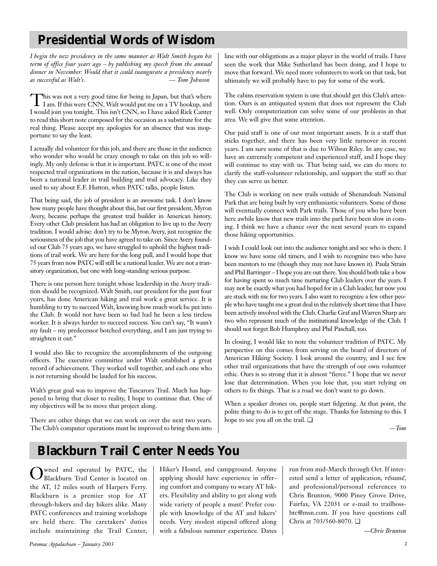# **Presidential Words of Wisdom**

*I begin the new presidency in the same manner as Walt Smith began his term of office four years ago – by publishing my speech from the annual dinner in November. Would that it could inaugurate a presidency nearly as successful as Walt's. — Tom Johnson*

This was not a very good time for being in Japan, but that's where<br>I am. If this were CNN, Walt would put me on a TV hookup, and I would join you tonight. This isn't CNN, so I have asked Rick Canter to read this short note composed for the occasion as a substitute for the real thing. Please accept my apologies for an absence that was inopportune to say the least.

I actually did volunteer for this job, and there are those in the audience who wonder who would be crazy enough to take on this job so willingly. My only defense is that it is important. PATC is one of the most respected trail organizations in the nation, because it is and always has been a national leader in trail building and trail advocacy. Like they used to say about E.F. Hutton, when PATC talks, people listen.

That being said, the job of president is an awesome task. I don't know how many people have thought about this, but our first president, Myron Avery, became perhaps the greatest trail builder in American history. Every other Club president has had an obligation to live up to the Avery tradition. I would advise: don't try to be Myron Avery, just recognize the seriousness of the job that you have agreed to take on. Since Avery founded our Club 75 years ago, we have struggled to uphold the highest traditions of trail work. We are here for the long pull, and I would hope that 75 years from now PATC will still be a national leader. We are not a transitory organization, but one with long-standing serious purpose.

There is one person here tonight whose leadership in the Avery tradition should be recognized. Walt Smith, our president for the past four years, has done American hiking and trail work a great service. It is humbling to try to succeed Walt, knowing how much work he put into the Club. It would not have been so bad had he been a less tireless worker. It is always harder to succeed success. You can't say, "It wasn't my fault – my predecessor botched everything, and I am just trying to straighten it out."

I would also like to recognize the accomplishments of the outgoing officers. The executive committee under Walt established a great record of achievement. They worked well together, and each one who is not returning should be lauded for his success.

Walt's great goal was to improve the Tuscarora Trail. Much has happened to bring that closer to reality, I hope to continue that. One of my objectives will be to move that project along.

There are other things that we can work on over the next two years. The Club's computer operations must be improved to bring them into line with our obligations as a major player in the world of trails. I have seen the work that Mike Sutherland has been doing, and I hope to move that forward. We need more volunteers to work on that task, but ultimately we will probably have to pay for some of the work.

The cabins reservation system is one that should get this Club's attention. Ours is an antiquated system that does not represent the Club well. Only computerization can solve some of our problems in that area. We will give that some attention.

Our paid staff is one of our most important assets. It is a staff that sticks together, and there has been very little turnover in recent years. I am sure some of that is due to Wilson Riley. In any case, we have an extremely competent and experienced staff, and I hope they will continue to stay with us. That being said, we can do more to clarify the staff-volunteer relationship, and support the staff so that they can serve us better.

The Club is working on new trails outside of Shenandoah National Park that are being built by very enthusiastic volunteers. Some of those will eventually connect with Park trails. Those of you who have been here awhile know that new trails into the park have been slow in coming. I think we have a chance over the next several years to expand those hiking opportunities.

I wish I could look out into the audience tonight and see who is there. I know we have some old timers, and I wish to recognize two who have been mentors to me (though they may not have known it). Paula Strain and Phil Barringer – I hope you are out there. You should both take a bow for having spent so much time nurturing Club leaders over the years. I may not be exactly what you had hoped for in a Club leader, but now you are stuck with me for two years. I also want to recognize a few other people who have taught me a great deal in the relatively short time that I have been actively involved with the Club. Charlie Graf and Warren Sharp are two who represent much of the institutional knowledge of the Club. I should not forget Bob Humphrey and Phil Paschall, too.

In closing, I would like to note the volunteer tradition of PATC. My perspective on this comes from serving on the board of directors of American Hiking Society. I look around the country, and I see few other trail organizations that have the strength of our own volunteer ethic. Ours is so strong that it is almost "fierce." I hope that we never lose that determination. When you lose that, you start relying on others to fix things. That is a road we don't want to go down.

When a speaker drones on, people start fidgeting. At that point, the polite thing to do is to get off the stage. Thanks for listening to this. I hope to see you all on the trail. ❏

*—Tom*

# **Blackburn Trail Center Needs You**

Owned and operated by PATC, the Blackburn Trail Center is located on the AT, 12 miles south of Harpers Ferry. Blackburn is a premier stop for AT through-hikers and day hikers alike. Many PATC conferences and training workshops are held there. The caretakers' duties include maintaining the Trail Center,

Hiker's Hostel, and campground. Anyone applying should have experience in offering comfort and company to weary AT hikers. Flexibility and ability to get along with wide variety of people a must! Prefer couple with knowledge of the AT and hikers' needs. Very modest stipend offered along with a fabulous summer experience. Dates run from mid-March through Oct. If interested send a letter of application, resume, and professional/personal references to Chris Brunton, 9000 Piney Grove Drive, Fairfax, VA 22031 or e-mail to trailbossbtc@msn.com. If you have questions call Chris at 703/560-8070. ❏

*—Chris Brunton*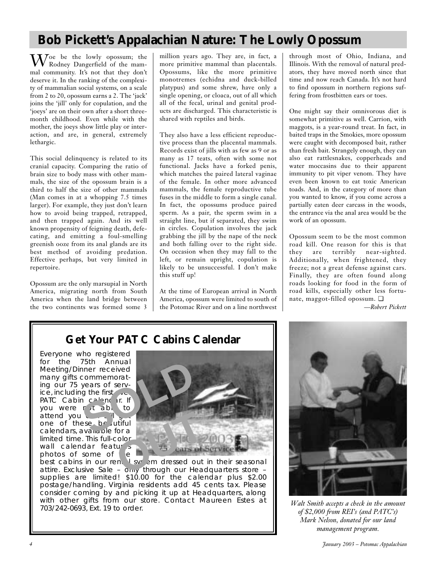# **Bob Pickett's Appalachian Nature: The Lowly Opossum**

 $\mathbf{W}_{\text{D,dec}}^{\text{oe}}$  be the lowly opossum; the Rodney Dangerfield of the mammal community. It's not that they don't deserve it. In the ranking of the complexity of mammalian social systems, on a scale from 2 to 20, opossum earns a 2. The 'jack' joins the 'jill' only for copulation, and the 'joeys' are on their own after a short threemonth childhood. Even while with the mother, the joeys show little play or interaction, and are, in general, extremely lethargic.

This social delinquency is related to its cranial capacity. Comparing the ratio of brain size to body mass with other mammals, the size of the opossum brain is a third to half the size of other mammals (Man comes in at a whopping 7.5 times larger). For example, they just don't learn how to avoid being trapped, retrapped, and then trapped again. And its well known propensity of feigning death, defecating, and emitting a foul-smelling greenish ooze from its anal glands are its best method of avoiding predation. Effective perhaps, but very limited in repertoire.

Opossum are the only marsupial in North America, migrating north from South America when the land bridge between the two continents was formed some 3

million years ago. They are, in fact, a more primitive mammal than placentals. Opossums, like the more primitive monotremes (echidna and duck-billed platypus) and some shrew, have only a single opening, or cloaca, out of all which all of the fecal, urinal and genital products are discharged. This characteristic is shared with reptiles and birds.

They also have a less efficient reproductive process than the placental mammals. Records exist of jills with as few as 9 or as many as 17 teats, often with some not functional. Jacks have a forked penis, which matches the paired lateral vaginae of the female. In other more advanced mammals, the female reproductive tube fuses in the middle to form a single canal. In fact, the opossums produce paired sperm. As a pair, the sperm swim in a straight line, but if separated, they swim in circles. Copulation involves the jack grabbing the jill by the nape of the neck and both falling over to the right side. On occasion when they may fall to the left, or remain upright, copulation is likely to be unsuccessful. I don't make this stuff up!

At the time of European arrival in North America, opossum were limited to south of the Potomac River and on a line northwest through most of Ohio, Indiana, and Illinois. With the removal of natural predators, they have moved north since that time and now reach Canada. It's not hard to find opossum in northern regions suffering from frostbitten ears or toes.

One might say their omnivorous diet is somewhat primitive as well. Carrion, with maggots, is a year-round treat. In fact, in baited traps in the Smokies, more opossum were caught with decomposed bait, rather than fresh bait. Strangely enough, they can also eat rattlesnakes, copperheads and water moccasins due to their apparent immunity to pit viper venom. They have even been known to eat toxic American toads. And, in the category of more than you wanted to know, if you come across a partially eaten deer carcass in the woods, the entrance via the anal area would be the work of an opossum.

Opossum seem to be the most common road kill. One reason for this is that they are terribly near-sighted. Additionally, when frightened, they freeze; not a great defense against cars. Finally, they are often found along roads looking for food in the form of road kills, especially other less fortunate, maggot-filled opossum. ❏

*—Robert Pickett*

# **Get Your PATC Cabins Calendar**

Everyone who registered for the 75th Annual Meeting/Dinner received many gifts commemorating our 75 years of serv $ice$ , including the first  $\sqrt{en}$ PATC Cabin calendar. If you were rut able to attend you can still get one of these be utiful calendars, avaluable for a limited time. This full-color wall calendar features photos of some of  $\mathsf{e}$ 



best cabins in our rent lisys em dressed out in their seasonal attire. Exclusive Sale –  $_{\text{Ony}}$  through our Headquarters store – supplies are limited! \$10.00 for the calendar plus \$2.00 postage/handling. Virginia residents add 45 cents tax. Please consider coming by and picking it up at Headquarters, along with other gifts from our store. Contact Maureen Estes at *Walt Smith accepts a check in the amount*<br>703/242-0693, Ext. 19 to order.



*of \$2,000 from REI's (and PATC's) Mark Nelson, donated for our land management program.*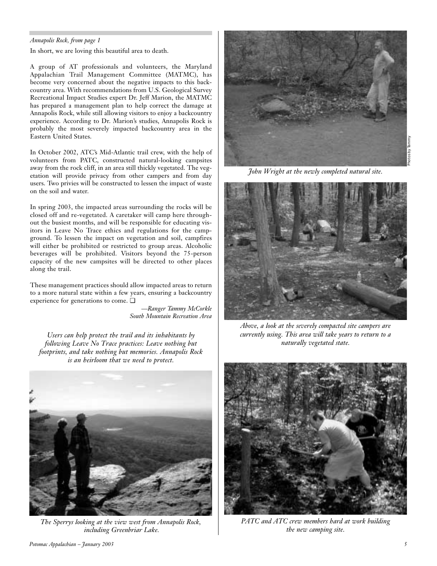### *Annapolis Rock, from page 1*

In short, we are loving this beautiful area to death.

A group of AT professionals and volunteers, the Maryland Appalachian Trail Management Committee (MATMC), has become very concerned about the negative impacts to this backcountry area. With recommendations from U.S. Geological Survey Recreational Impact Studies expert Dr. Jeff Marion, the MATMC has prepared a management plan to help correct the damage at Annapolis Rock, while still allowing visitors to enjoy a backcountry experience. According to Dr. Marion's studies, Annapolis Rock is probably the most severely impacted backcountry area in the Eastern United States.

In October 2002, ATC's Mid-Atlantic trail crew, with the help of volunteers from PATC, constructed natural-looking campsites away from the rock cliff, in an area still thickly vegetated. The vegetation will provide privacy from other campers and from day users. Two privies will be constructed to lessen the impact of waste on the soil and water.

In spring 2003, the impacted areas surrounding the rocks will be closed off and re-vegetated. A caretaker will camp here throughout the busiest months, and will be responsible for educating visitors in Leave No Trace ethics and regulations for the campground. To lessen the impact on vegetation and soil, campfires will either be prohibited or restricted to group areas. Alcoholic beverages will be prohibited. Visitors beyond the 75-person capacity of the new campsites will be directed to other places along the trail.

These management practices should allow impacted areas to return to a more natural state within a few years, ensuring a backcountry experience for generations to come. ❏

> *—Ranger Tammy McCorkle South Mountain Recreation Area*

*Users can help protect the trail and its inhabitants by following Leave No Trace practices: Leave nothing but footprints, and take nothing but memories. Annapolis Rock is an heirloom that we need to protect.*



*The Sperrys looking at the view west from Annapolis Rock, including Greenbriar Lake.*



*John Wright at the newly completed natural site.*



*Above, a look at the severely compacted site campers are currently using. This area will take years to return to a naturally vegetated state.*



*PATC and ATC crew members hard at work building the new camping site.*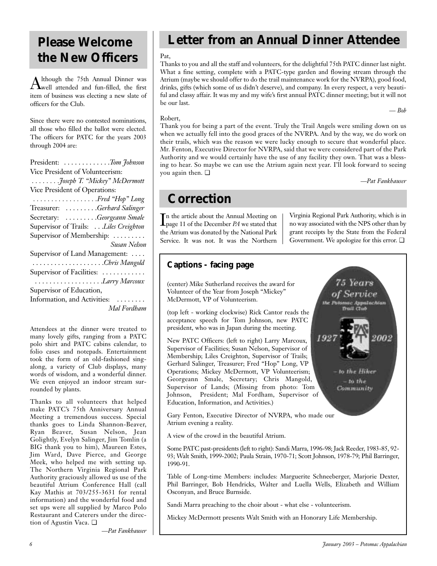# **Please Welcome the New Officers**

Although the 75th Annual Dinner was well attended and fun-filled, the first item of business was electing a new slate of officers for the Club.

Since there were no contested nominations, all those who filled the ballot were elected. The officers for PATC for the years 2003 through 2004 are:

| President: <i>Tom Johnson</i>                          |
|--------------------------------------------------------|
| Vice President of Volunteerism:                        |
| <i>Joseph T. "Mickey" McDermott</i>                    |
| Vice President of Operations:                          |
| $\ldots \ldots \ldots \ldots \ldots$ . Fred "Hop" Long |
| Treasurer: Gerbard Salinger                            |
| Secretary: Georgeann Smale                             |
| Supervisor of Trails:  Liles Creighton                 |
| Supervisor of Membership:                              |
| Susan Nelson                                           |
| Supervisor of Land Management:                         |
| Chris Mangold                                          |
| Supervisor of Facilities:                              |
| Larry Marcoux                                          |
| Supervisor of Education,                               |
| Information, and Activities:<br>.                      |
| Mal Fordham                                            |
|                                                        |

Attendees at the dinner were treated to many lovely gifts, ranging from a PATC polo shirt and PATC cabins calendar, to folio cases and notepads. Entertainment took the form of an old-fashioned singalong, a variety of Club displays, many words of wisdom, and a wonderful dinner. We even enjoyed an indoor stream surrounded by plants.

Thanks to all volunteers that helped make PATC's 75th Anniversary Annual Meeting a tremendous success. Special thanks goes to Linda Shannon-Beaver, Ryan Beaver, Susan Nelson, Jean Golightly, Evelyn Salinger, Jim Tomlin (a BIG thank you to him), Maureen Estes, Jim Ward, Dave Pierce, and George Meek, who helped me with setting up. The Northern Virginia Regional Park Authority graciously allowed us use of the beautiful Atrium Conference Hall (call Kay Mathis at 703/255-3631 for rental information) and the wonderful food and set ups were all supplied by Marco Polo Restaurant and Caterers under the direction of Agustin Vaca. ❏

*—Pat Fankhauser*

# **Letter from an Annual Dinner Attendee**

### Pat,

Thanks to you and all the staff and volunteers, for the delightful 75th PATC dinner last night. What a fine setting, complete with a PATC-type garden and flowing stream through the Atrium (maybe we should offer to do the trail maintenance work for the NVRPA), good food, drinks, gifts (which some of us didn't deserve), and company. In every respect, a very beautiful and classy affair. It was my and my wife's first annual PATC dinner meeting; but it will not be our last. *— Bob*

Robert,

Thank you for being a part of the event. Truly the Trail Angels were smiling down on us when we actually fell into the good graces of the NVRPA. And by the way, we do work on their trails, which was the reason we were lucky enough to secure that wonderful place. Mr. Fenton, Executive Director for NVRPA, said that we were considered part of the Park Authority and we would certainly have the use of any facility they own. That was a blessing to hear. So maybe we can use the Atrium again next year. I'll look forward to seeing you again then. ❏

*—Pat Fankhauser*

2002

# **Correction**

 $\sum_{\text{page 11 of the December }PA}$  we stated that page 11 of the December *PA* we stated that the Atrium was donated by the National Park Service. It was not. It was the Northern Virginia Regional Park Authority, which is in no way associated with the NPS other than by grant receipts by the State from the Federal Government. We apologize for this error. ❏

> 75 Years of Service the Patomac Appalachian<br>Trail Club

> > - to the Hiker - to the Community

# **Captions - facing page**

(center) Mike Sutherland receives the award for Volunteer of the Year from Joseph "Mickey" McDermott, VP of Volunteerism.

(top left - working clockwise) Rick Cantor reads the acceptance speech for Tom Johnson, new PATC president, who was in Japan during the meeting.

New PATC Officers: (left to right) Larry Marcoux, Supervisor of Facilities; Susan Nelson, Supervisor of Membership; Liles Creighton, Supervisor of Trails; Gerhard Salinger, Treasurer; Fred "Hop" Long, VP Operations; Mickey McDermott, VP Volunteerism; Georgeann Smale, Secretary; Chris Mangold, Supervisor of Lands; (Missing from photo: Tom Johnson, President; Mal Fordham, Supervisor of Education, Information, and Activities.)

Gary Fenton, Executive Director of NVRPA, who made our Atrium evening a reality.

A view of the crowd in the beautiful Atrium.

Some PATC past-presidents (left to right): Sandi Marra, 1996-98; Jack Reeder, 1983-85, 92- 93; Walt Smith, 1999-2002; Paula Strain, 1970-71; Scott Johnson, 1978-79; Phil Barringer, 1990-91.

Table of Long-time Members: includes: Marguerite Schneeberger, Marjorie Dexter, Phil Barringer, Bob Hendricks, Walter and Luella Wells, Elizabeth and William Osconyan, and Bruce Burnside.

Sandi Marra preaching to the choir about - what else - volunteerism.

Mickey McDermott presents Walt Smith with an Honorary Life Membership.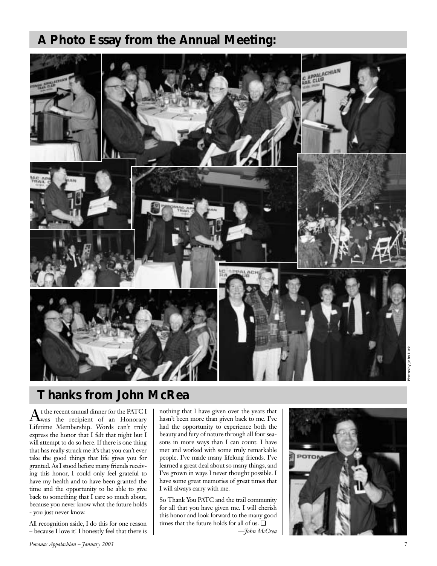# **A Photo Essay from the Annual Meeting:**



# **Thanks from John McRea**

At the recent annual dinner for the PATC I<br>was the recipient of an Honorary Lifetime Membership. Words can't truly express the honor that I felt that night but I will attempt to do so here. If there is one thing that has really struck me it's that you can't ever take the good things that life gives you for granted. As I stood before many friends receiving this honor, I could only feel grateful to have my health and to have been granted the time and the opportunity to be able to give back to something that I care so much about, because you never know what the future holds - you just never know.

All recognition aside, I do this for one reason – because I love it! I honestly feel that there is nothing that I have given over the years that hasn't been more than given back to me. I've had the opportunity to experience both the beauty and fury of nature through all four seasons in more ways than I can count. I have met and worked with some truly remarkable people. I've made many lifelong friends. I've learned a great deal about so many things, and I've grown in ways I never thought possible. I have some great memories of great times that I will always carry with me.

So Thank You PATC and the trail community for all that you have given me. I will cherish this honor and look forward to the many good times that the future holds for all of us. ❏

*—John McCrea*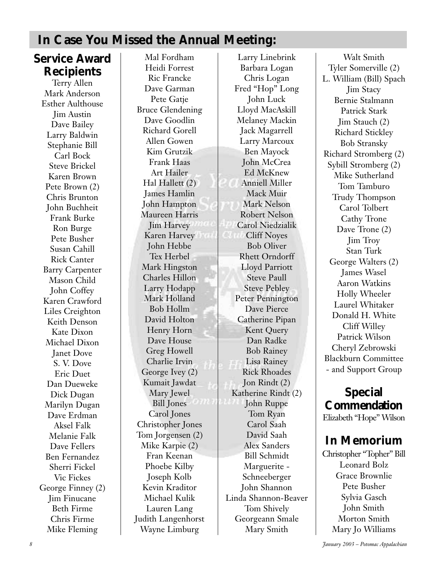# **In Case You Missed the Annual Meeting:**

# **Service Award Recipients**

Terry Allen Mark Anderson Esther Aulthouse Jim Austin Dave Bailey Larry Baldwin Stephanie Bill Carl Bock Steve Brickel Karen Brown Pete Brown (2) Chris Brunton John Buchheit Frank Burke Ron Burge Pete Busher Susan Cahill Rick Canter Barry Carpenter Mason Child John Coffey Karen Crawford Liles Creighton Keith Denson Kate Dixon Michael Dixon Janet Dove S. V. Dove Eric Duet Dan Dueweke Dick Dugan Marilyn Dugan Dave Erdman Aksel Falk Melanie Falk Dave Fellers Ben Fernandez Sherri Fickel Vic Fickes George Finney (2) Jim Finucane Beth Firme Chris Firme Mike Fleming

Mal Fordham Heidi Forrest Ric Francke Dave Garman Pete Gatje Bruce Glendening Dave Goodlin Richard Gorell Allen Gowen Kim Grutzik Frank Haas Art Hailer Hal Hallett (2) James Hamlin John Hampton Maureen Harris Jim Harvey Karen Harvey John Hebbe Tex Herbel Mark Hingston Charles Hillon Larry Hodapp Mark Holland Bob Hollm David Holton Henry Horn Dave House Greg Howell Charlie Irvin George Ivey (2) Kumait Jawdat Mary Jewel Bill Jones Carol Jones Christopher Jones Tom Jorgensen (2) Mike Karpie (2) Fran Keenan Phoebe Kilby Joseph Kolb Kevin Kraditor Michael Kulik Lauren Lang Judith Langenhorst Wayne Limburg

Larry Linebrink Barbara Logan Chris Logan Fred "Hop" Long John Luck Lloyd MacAskill Melaney Mackin Jack Magarrell Larry Marcoux Ben Mayock John McCrea Ed McKnew Anniell Miller Mack Muir Mark Nelson Robert Nelson Carol Niedzialik Cliff Noyes Bob Oliver Rhett Orndorff Lloyd Parriott Steve Paull Steve Pebley Peter Pennington Dave Pierce Catherine Pipan Kent Query Dan Radke Bob Rainey Lisa Rainey Rick Rhoades Jon Rindt (2) Katherine Rindt (2) John Ruppe Tom Ryan Carol Saah David Saah Alex Sanders Bill Schmidt Marguerite - Schneeberger John Shannon Linda Shannon-Beaver Tom Shively Georgeann Smale Mary Smith

Walt Smith Tyler Somerville (2) L. William (Bill) Spach Jim Stacy Bernie Stalmann Patrick Stark Jim Stauch (2) Richard Stickley Bob Stransky Richard Stromberg (2) Sybill Stromberg (2) Mike Sutherland Tom Tamburo Trudy Thompson Carol Tolbert Cathy Trone Dave Trone (2) Jim Troy Stan Turk George Walters (2) James Wasel Aaron Watkins Holly Wheeler Laurel Whitaker Donald H. White Cliff Willey Patrick Wilson Cheryl Zebrowski Blackburn Committee - and Support Group

**Special Commendation**

Elizabeth "Hope" Wilson

# **In Memorium**

Christopher "Topher" Bill Leonard Bolz Grace Brownlie Pete Busher Sylvia Gasch John Smith Morton Smith Mary Jo Williams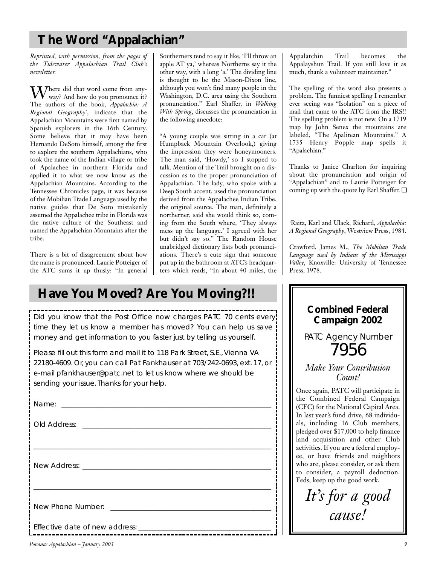# **The Word "Appalachian"**

*Reprinted, with permission, from the pages of the Tidewater Appalachian Trail Club's newsletter.*

 $M$ here did that word come from anyway? And how do you pronounce it? The authors of the book, *Appalachia: A Regional Geography1* , indicate that the Appalachian Mountains were first named by Spanish explorers in the 16th Century. Some believe that it may have been Hernando DeSoto himself, among the first to explore the southern Appalachians, who took the name of the Indian village or tribe of Apalachee in northern Florida and applied it to what we now know as the Appalachian Mountains. According to the Tennessee Chronicles page, it was because of the Mobilian Trade Language used by the native guides that De Soto mistakenly assumed the Appalachee tribe in Florida was the native culture of the Southeast and named the Appalachian Mountains after the tribe.

There is a bit of disagreement about how the name is pronounced. Laurie Potteiger of the ATC sums it up thusly: "In general Southerners tend to say it like, 'I'll throw an apple AT ya,' whereas Northerns say it the other way, with a long 'a.' The dividing line is thought to be the Mason-Dixon line, although you won't find many people in the Washington, D.C. area using the Southern pronunciation." Earl Shaffer, in *Walking With Spring*, discusses the pronunciation in the following anecdote:

"A young couple was sitting in a car (at Humpback Mountain Overlook,) giving the impression they were honeymooners. The man said, 'Howdy,' so I stopped to talk. Mention of the Trail brought on a discussion as to the proper pronunciation of Appalachian. The lady, who spoke with a Deep South accent, used the pronunciation derived from the Appalachee Indian Tribe, the original source. The man, definitely a northerner, said she would think so, coming from the South where, 'They always mess up the language.' I agreed with her but didn't say so." The Random House unabridged dictionary lists both pronunciations. There's a cute sign that someone put up in the bathroom at ATC's headquarters which reads, "In about 40 miles, the

**Have You Moved? Are You Moving?!!**

Did you know that the Post Office now charges PATC 70 cents every time they let us know a member has moved? You can help us save money and get information to you faster just by telling us yourself.

Please fill out this form and mail it to 118 Park Street, S.E., Vienna VA 22180-4609. Or, you can call Pat Fankhauser at 703/242-0693, ext. 17, or e-mail pfankhauser@patc.net to let us know where we should be sending your issue. Thanks for your help.

Appalatchin Trail becomes the Appalayshun Trail. If you still love it as much, thank a volunteer maintainer."

The spelling of the word also presents a problem. The funniest spelling I remember ever seeing was "Isolation" on a piece of mail that came to the ATC from the IRS!! The spelling problem is not new. On a 1719 map by John Senex the mountains are labeled, "The Apalitean Mountains." A 1735 Henry Popple map spells it "Apalachian."

Thanks to Janice Charlton for inquiring about the pronunciation and origin of "Appalachian" and to Laurie Potteiger for coming up with the quote by Earl Shaffer.  $\Box$ 

1 Raitz, Karl and Ulack, Richard, *Appalachia: A Regional Geography*, Westview Press, 1984.

Crawford, James M., *The Mobilian Trade Language used by Indians of the Mississippi Valley*, Knoxville: University of Tennessee Press, 1978.



*It's for a good cause!*

*Potomac Appalachian – January 2003 9*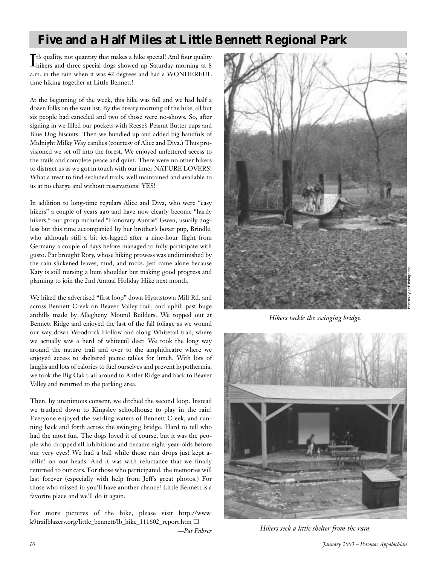# **Five and a Half Miles at Little Bennett Regional Park**

**T**<sup>t's</sup> quality, not quantity that makes a hike special! And four quality hikers and three special dogs showed up Saturday morning at 8 hikers and three special dogs showed up Saturday morning at 8 a.m. in the rain when it was 42 degrees and had a WONDERFUL time hiking together at Little Bennett!

At the beginning of the week, this hike was full and we had half a dozen folks on the wait list. By the dreary morning of the hike, all but six people had canceled and two of those were no-shows. So, after signing in we filled our pockets with Reese's Peanut Butter cups and Blue Dog biscuits. Then we bundled up and added big handfuls of Midnight Milky Way candies (courtesy of Alice and Diva.) Thus provisioned we set off into the forest. We enjoyed unfettered access to the trails and complete peace and quiet. There were no other hikers to distract us as we got in touch with our inner NATURE LOVERS! What a treat to find secluded trails, well maintained and available to us at no charge and without reservations! YES!

In addition to long-time regulars Alice and Diva, who were "easy hikers" a couple of years ago and have now clearly become "hardy hikers," our group included "Honorary Auntie" Gwen, usually dogless but this time accompanied by her brother's boxer pup, Brindle, who although still a bit jet-lagged after a nine-hour flight from Germany a couple of days before managed to fully participate with gusto. Pat brought Rory, whose hiking prowess was undiminished by the rain slickened leaves, mud, and rocks. Jeff came alone because Katy is still nursing a bum shoulder but making good progress and planning to join the 2nd Annual Holiday Hike next month.

We hiked the advertised "first loop" down Hyattstown Mill Rd. and across Bennett Creek on Beaver Valley trail, and uphill past huge anthills made by Allegheny Mound Builders. We topped out at Bennett Ridge and enjoyed the last of the fall foliage as we wound our way down Woodcock Hollow and along Whitetail trail, where we actually saw a herd of whitetail deer. We took the long way around the nature trail and over to the amphitheatre where we enjoyed access to sheltered picnic tables for lunch. With lots of laughs and lots of calories to fuel ourselves and prevent hypothermia, we took the Big Oak trail around to Antler Ridge and back to Beaver Valley and returned to the parking area.

Then, by unanimous consent, we ditched the second loop. Instead we trudged down to Kingsley schoolhouse to play in the rain! Everyone enjoyed the swirling waters of Bennett Creek, and running back and forth across the swinging bridge. Hard to tell who had the most fun. The dogs loved it of course, but it was the people who dropped all inhibitions and became eight-year-olds before our very eyes! We had a ball while those rain drops just kept afallin' on our heads. And it was with reluctance that we finally returned to our cars. For those who participated, the memories will last forever (especially with help from Jeff's great photos.) For those who missed it: you'll have another chance! Little Bennett is a favorite place and we'll do it again.

For more pictures of the hike, please visit http://www. k9trailblazers.org/little\_bennett/lb\_hike\_111602\_report.htm ❏ *—Pat Fuhrer*







*Hikers seek a little shelter from the rain.*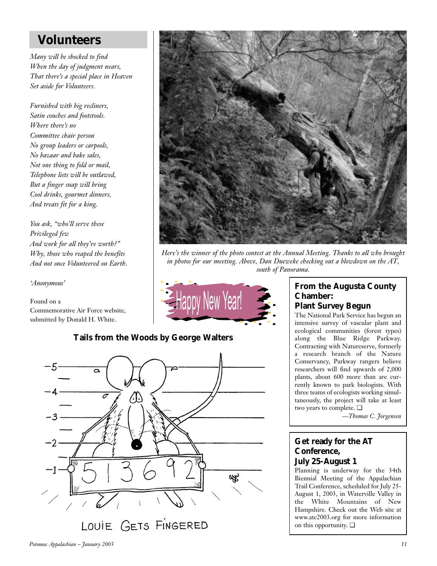# **Volunteers**

*Many will be shocked to find When the day of judgment nears, That there's a special place in Heaven Set aside for Volunteers.*

*Furnished with big recliners, Satin couches and footstools. Where there's no Committee chair person No group leaders or carpools, No bazaar and bake sales, Not one thing to fold or mail, Telephone lists will be outlawed, But a finger snap will bring Cool drinks, gourmet dinners, And treats fit for a king.*

*You ask, "who'll serve these Privileged few And work for all they're worth?" Why, those who reaped the benefits And not once Volunteered on Earth.*

*'Anonymous'*

Found on a Commemorative Air Force website, submitted by Donald H. White.



*Here's the winner of the photo contest at the Annual Meeting. Thanks to all who brought in photos for our meeting. Above, Dan Dueweke checking out a blowdown on the AT, south of Panorama.*



# **From the Augusta County Chamber: Plant Survey Begun**

The National Park Service has begun an intensive survey of vascular plant and ecological communities (forest types) along the Blue Ridge Parkway. Contracting with Natureserve, formerly a research branch of the Nature Conservancy, Parkway rangers believe researchers will find upwards of 2,000 plants, about 600 more than are currently known to park biologists. With three teams of ecologists working simultaneously, the project will take at least two years to complete. ❏

*—Thomas C. Jorgensen*

# **Get ready for the AT Conference, July 25-August 1**

Planning is underway for the 34th Biennial Meeting of the Appalachian Trail Conference, scheduled for July 25- August 1, 2003, in Waterville Valley in the White Mountains of New Hampshire. Check out the Web site at www.atc2003.org for more information on this opportunity. ❏

## **Tails from the Woods by George Walters**

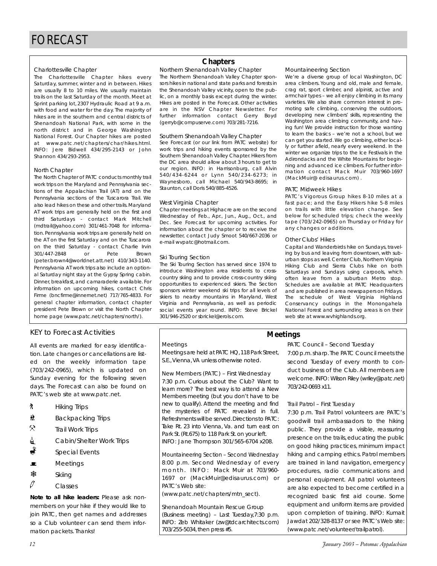#### Charlottesville Chapter

The Charlottesville Chapter hikes every Saturday, summer, winter and in between. Hikes are usually 8 to 10 miles. We usually maintain trails on the last Saturday of the month. Meet at Sprint parking lot, 2307 Hydraulic Road at 9 a.m. with food and water for the day. The majority of hikes are in the southern and central districts of Shenandoah National Park, with some in the north district and in George Washington National Forest. Our Chapter hikes are posted at www.patc.net/chapters/char/hikes.html. INFO: Jere Bidwell 434/295-2143 or John Shannon 434/293-2953.

### North Chapter

The North Chapter of PATC conducts monthly trail work trips on the Maryland and Pennsylvania sections of the Appalachian Trail (AT) and on the Pennsylvania sections of the Tuscarora Trail. We also lead hikes on these and other trails. Maryland AT work trips are generally held on the first and third Saturdays - contact Mark Mitchell (mdtrail@yahoo.com) 301/461-7048 for information. Pennsylvania work trips are generally held on the AT on the first Saturday and on the Tuscarora on the third Saturday - contact Charlie Irvin 301/447-2848 or Pete Brown (peter.brown4@worldnet.att.net) 410/343-1140. Pennsylvania AT work trips also include an optional Saturday night stay at the Gypsy Spring cabin. Dinner, breakfast, and camaraderie available. For information on upcoming hikes, contact Chris Firme (bncfirme@innernet.net) 717/765-4833. For general chapter information, contact chapter president Pete Brown or visit the North Chapter home page (www.patc.net/chapters/north/).

### KEY to Forecast Activities

All events are marked for easy identification. Late changes or cancellations are listed on the weekly information tape (703/242-0965), which is updated on Sunday evening for the following seven days. The Forecast can also be found on PATC's web site at www.patc.net.

- **A** Hiking Trips
- ~ Backpacking Trips
- $\otimes$ Trail Work Trips
- **4** Cabin/Shelter Work Trips
- $\frac{\ddot{x}}{\dot{x}}$  Special Events
- $\blacksquare$  Meetings
- **※ Skiing**
- $\ell$  Classes

*Note to all hike leaders:* Please ask nonmembers on your hike if they would like to join PATC, then get names and addresses so a Club volunteer can send them information packets. Thanks!

### **Chapters**

Northern Shenandoah Valley Chapter The Northern Shenandoah Valley Chapter sponsors hikes in national and state parks and forests in the Shenandoah Valley vicinity, open to the public, on a monthly basis except during the winter. Hikes are posted in the Forecast. Other activities are in the NSV Chapter Newsletter. For further information contact Gerry Boyd (gerryb@compuserve.com) 703/281-7216.

#### Southern Shenandoah Valley Chapter

See Forecast (or our link from PATC website) for work trips and hiking events sponsored by the Southern Shenandoah Valley Chapter. Hikers from the DC area should allow about 3 hours to get to our region. INFO: in Harrisonburg, call Alvin 540/434-6244 or Lynn 540/234-6273; in Waynesboro, call Michael 540/943-8695; in Staunton, call Doris 540/885-4526.

### West Virginia Chapter

Chapter meetings at Highacre are on the second Wednesday of Feb., Apr., Jun., Aug., Oct., and Dec. See Forecast for upcoming activities. For information about the chapter or to receive the newsletter, contact Judy Smoot 540/667-2036 or e-mail wvpatc@hotmail.com.

#### Ski Touring Section

The Ski Touring Section has served since 1974 to introduce Washington area residents to crosscountry skiing and to provide cross-country skiing opportunities to experienced skiers. The Section sponsors winter weekend ski trips for all levels of skiers to nearby mountains in Maryland, West Virginia and Pennsylvania, as well as periodic social events year round. INFO: Steve Brickel 301/946-2520 or sbrickel@erols.com.

#### Mountaineering Section

We're a diverse group of local Washington, DC area climbers. Young and old, male and female, crag rat, sport climber, and alpinist, active and armchair types – we all enjoy climbing in its many varieties. We also share common interest in promoting safe climbing, conserving the outdoors, developing new climbers' skills, representing the Washington area climbing community, and having fun! We provide instruction for those wanting to learn the basics – we're not a school, but we can get you started. We go climbing, either locally or further afield, nearly every weekend. In the winter we organize trips to the Ice Festivals in the Adirondacks and the White Mountains for beginning and advanced ice climbers. For further information contact Mack Muir 703/960-1697 (MackMuir@ edisaurus.com) .

#### PATC Midweek Hikes

PATC's Vigorous Group hikes 8-10 miles at a fast pace; and the Easy Hikers hike 5-8 miles on trails with little elevation change. See below for scheduled trips; check the weekly tape (703/242-0965) on Thursday or Friday for any changes or additions.

### Other Clubs' Hikes

Capital and Wanderbirds hike on Sundays, traveling by bus and leaving from downtown, with suburban stops as well. Center Club, Northern Virginia Hiking Club and Sierra Clubs hike on both Saturdays and Sundays using carpools, which often leave from a suburban Metro stop. Schedules are available at PATC Headquarters and are published in area newspapers on Fridays. The schedule of West Virginia Highland Conservancy outings in the Monongahela National Forest and surrounding areas is on their web site at www.wvhighlands.org.

### Meetings

Meetings are held at PATC HQ,118 Park Street, S.E.,Vienna,VA unless otherwise noted.

New Members (PATC) – First Wednesday 7:30 p.m. Curious about the Club? Want to learn more? The best way is to attend a New Members meeting (but you don't have to be new to qualify). Attend the meeting and find the mysteries of PATC revealed in full. Refreshments will be served.Directions to PATC: Take Rt. 23 into Vienna, Va. and turn east on Park St.(Rt.675) to 118 Park St.on your left. INFO: Jane Thompson 301/565-6704 x208.

Mountaineering Section – Second Wednesday 8:00 p.m. Second Wednesday of every m on th. INFO: Mack Muir at 703/960-1697 or (MackMuir@edisaurus.com) or PATC's Web site:

(www.patc.net/chapters/mtn\_sect).

Shenandoah Mountain Rescue Group (Business meeting) – Last Tuesday,7:30 p.m. INFO: Zeb Whitaker (zw@tdcarchitects.com) 703/255-5034, then press #5.

### **Meetings**

PATC Council – Second Tuesday

7:00 p.m.sharp.The PATC Council meets the second Tuesday of every month to conduct business of the Club. All members are welcome. INFO: Wilson Riley (wriley@patc.net) 703/242-0693 x11.

### Trail Patrol – First Tuesday

7:30 p.m. Trail Patrol volunteers are PATC's goodwill trail ambassadors to the hiking public. They provide a visible, reassuring presence on the trails, educating the public on good hiking practices, minimum impact hiking and camping ethics. Patrol members are trained in land navigation, emergency procedures, radio communications and personal equipment. All patrol volunteers are also expected to become certified in a recognized basic first aid course. Some equipment and uniform items are provided upon completion of training. INFO: Kumait Jawdat 202/328-8137 or see PATC's Web site: (www.patc.net/volunteer/trailpatrol).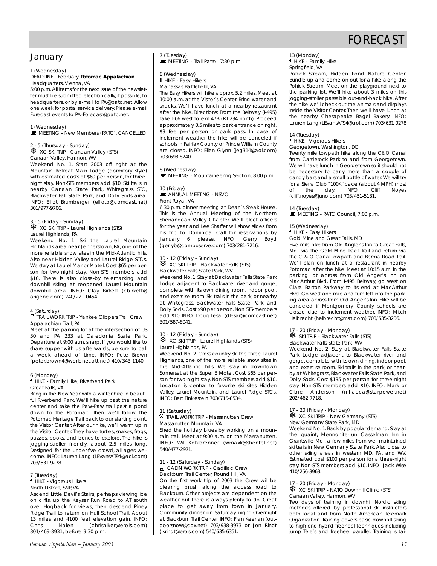### **January**

1 (Wednesday)

#### DEADLINE - February *Potomac Appalachian* Headquarters, Vienna, VA

5:00 p.m.All items for the next issue of the newsletter must be submitted electronically, if possible, to headquarters, or by e-mail to PA@patc.net. Allow one week for postal service delivery. Please e-mail Forecast events to PA-Forecast@patc.net.

1 (Wednesday)

**MEETING - New Members (PATC), CANCELLED** 

- 2 5 (Thursday Sunday)
- **※ XC SKI TRIP Canaan Valley (STS)**

Canaan Valley, Harmon, WV Weekend No. 1. Start 2003 off right at the Mountain Retreat Main Lodge (dormitory style) with estimated costs of \$60 per person, for threenight stay. Non-STS members add \$10. Ski trails in nearby Canaan State Park, Whitegrass STC, Blackwater Fall State Park, and Dolly Sods area. INFO: Elliot Brumberger (elliotb@comcast.net) 301/977-9706.

3 - 5 (Friday - Sunday)

**※ XC SKI TRIP - Laurel Highlands (STS)** Laurel Highlands, PA

Weekend No. 1. Ski the Laurel Mountain Highlands area near Jennerstown, PA, one of the more reliable snow sites in the Mid-Atlantic hills. Also near Hidden Valley and Laurel Ridge STCs. We stay at Laurel Manor Motel. Cost \$65 per person for two-night stay. Non-STS members add \$10. There is also close-by telemarking and downhill skiing at reopened Laurel Mountain downhill area. INFO: Clay Birkett (cbirkett@ origene.com) 240/221-0454.

#### 4 (Saturday)

#### . TRAIL WORK TRIP - Yankee Clippers Trail Crew Appalachian Trail, PA

Meet at the parking lot at the intersection of US 30 and PA 233 at Caledonia State Park. Departure at 9:00 a.m. sharp. If you would like to share supper with us afterwards, be sure to call a week ahead of time. INFO: Pete Brown (peter.brown4@worldnet.att.net) 410/343-1140.

#### 6 (Monday)

` HIKE - Family Hike, Riverbend Park Great Falls, VA

Bring in the New Year with a winter hike in beautiful Riverbend Park. We'll hike up past the nature center and take the Paw-Paw trail past a pond down to the Potomac. Then we'll follow the Potomac Heritage Trail back to our starting point, the Visitor Center. After our hike, we'll warm up in the Visitor Center. They have turtles, snakes, frogs, puzzles, books, and bones to explore. The hike is jogging-stroller friendly, about 2.5 miles long. Designed for the under-five crowd, all ages welcome. INFO: Lauren Lang (LEvansAT94@aol.com) 703/631-9278.

7 (Tuesday)

- ` HIKE Vigorous Hikers
- North District, SNP, VA

Ascend Little Devil's Stairs, perhaps viewing ice on cliffs, up the Keyser Run Road to AT south over Hogback for views, then descend Piney Ridge Trail to return on Hull School Trail. About 13 miles and 4100 feet elevation gain. INFO: Chris Nolen (chrishiker@erols.com) 301/469-8931, before 9:30 p.m.

#### 7 (Tuesday)  $\mathbf{\mathbb{E}}$  MEETING - Trail Patrol, 7:30 p.m.

8 (Wednesday)

` HIKE - Easy Hikers

Manassas Battlefield, VA

The Easy Hikers will hike approx. 5.2 miles. Meet at 10:00 a.m. at the Visitor's Center. Bring water and snacks. We'll have lunch at a nearby restaurant after the hike. Directions: From the Beltway (I-495) take I-66 west to exit 47B (RT 234 north). Proceed approximately 0.5 miles to park entrance on right. \$3 fee per person or park pass. In case of inclement weather the hike will be canceled if schools in Fairfax County or Prince William County are closed. INFO: Ellen Glynn (jeg314@aol.com) 703/698-8740.

8 (Wednesday)

MEETING - Mountaineering Section, 8:00 p.m.

# 10 (Friday)

**ANNUAL MEETING - NSVC** 

Front Royal, VA

6:30 p.m. dinner meeting at Dean's Steak House. This is the Annual Meeting of the Northern Shenandoah Valley Chapter. We'll elect officers for the year and Lee Shaffer will show slides from his trip to Dominica. Call for reservations by January 6 please. INFO: Gerry Boyd (gerryb@compuserve.com) 703/281-7216.

#### 10 - 12 (Friday - Sunday)

**※ XC SKI TRIP - Blackwater Falls (STS)** Blackwater Falls State Park, WV

Weekend No. 1. Stay at Blackwater Falls State Park Lodge adjacent to Blackwater river and gorge, complete with its own dining room, indoor pool, and exercise room. Ski trails in the park, or nearby at Whitegrass, Blackwater Falls State Park, and Dolly Sods. Cost \$90 per person. Non STS-members add \$10. INFO: Doug Lesar (dlesar@comcast.net) 301/587-8041.

10 - 12 (Friday - Sunday)

**※ XC SKI TRIP - Laurel Highlands (STS)** Laurel Highlands, PA

Weekend No. 2. Cross country ski the three Laurel Highlands, one of the more reliable snow sites in the Mid-Atlantic hills. We stay in downtown Somerset at the Super 8 Motel. Cost \$65 per person for two-night stay. Non-STS members add \$10. Location is central to favorite ski sites Hidden Valley, Laurel Mountain, and Laurel Ridge STCs. INFO: Bert Finklestein 703/715-8534.

#### 11 (Saturday)

11 (saturday)<br><sup>R</sup> TRAIL WORK TRIP - Massanutten Crew

Massanutten Mountain, VA

Shed the holiday blues by working on a mountain trail. Meet at 9:00 a.m. on the Massanutten. INFO: Wil Kohlbrenner (wmaxk@shentel.net) 540/477-2971.

#### 11 - 12 (Saturday - Sunday)

CABIN WORK TRIP - Cadillac Crew Blackburn Trail Center, Round Hill, VA

On the first work trip of 2003 the Crew will be clearing brush along the access road to Blackburn. Other projects are dependent on the weather but there is always plenty to do. Great place to get away from town in January. Community dinner on Saturday night. Overnight at Blackburn Trail Center. INFO: Fran Keenan (outdoorsnow@cox.net) 703/938-3973 or Jon Rindt (jkrindt@erols.com) 540/635-6351.

13 (Monday) ` HIKE - Family Hike Springfield, VA

Pohick Stream, Hidden Pond Nature Center. Bundle up and come on out for a hike along the Pohick Stream. Meet on the playground next to the parking lot. We'll hike about 3 miles on this jogging-stroller passable out-and-back hike. After the hike we'll check out the animals and displays inside the Visitor Center. Then we'll have lunch at the nearby Chesapeake Bagel Bakery. INFO: Lauren Lang (LEvansAT94@aol.com) 703/631-9278

14 (Tuesday)

` HIKE - Vigorous Hikers

Georgetown, Washington, DC

Twenty mile towpath hike along the C&O Canal from Carderock Park to and from Georgetown. We will have lunch in Georgetown so it should not be necessary to carry more than a couple of candy bars and a small bottle of water. We will try for a Sierra Club "100K" pace (about 4 MPH) most<br>of the day. INFO: Cliff Noyes of the day. INFO: Cliff Noyes (cliff.noyes@juno.com) 703/451-5181.

#### 14 (Tuesday)

**MEETING - PATC Council, 7:00 p.m.** 

15 (Wednesday)

**A** HIKE - Easy Hikers

Gold Mine and Great Falls, MD

Five-mile hike from Old Angler's Inn to Great Falls, Md., via the Gold Mine Tract Trail and return via the C & O Canal Towpath and Berma Road Trail. We'll plan on lunch at a restaurant in nearby Potomac after the hike. Meet at 10:15 a.m. in the parking lot across from Old Anger's Inn on MacArthur Blvd. From I-495 Beltway, go west on Clara Barton Parkway to its end at MacArthur Blvd. Go west one mile and turn left into the parking area across from Old Anger's Inn. Hike will be canceled if Montgomery County schools are closed due to inclement weather. INFO: Mitch Helbrecht (helbrecht@msn.com) 703/535-3236.

17 - 20 (Friday - Monday)

### **※ SKI TRIP - Blackwater Falls (STS)**

Blackwater Falls State Park, WV

Weekend No. 2. Stay at Blackwater Falls State Park Lodge adjacent to Blackwater river and gorge, complete with its own dining, indoor pool, and exercise room. Ski trails in the park, or nearby at Whitegrass, Blackwater Falls State Park, and Dolly Sods. Cost \$135 per person for three-night stay. Non-STS members add \$10. INFO: Mark or Clare Anderson (mhacca@starpower.net) 202/462-7718.

17 - 20 (Friday - Monday)

**※ XC SKI TRIP - New Germany (STS)** New Germany State Park, MD

Weekend No. 1. Back by popular demand. Stay at the quaint, Mennonite-run Casselman Inn in Grantsville Md., a few miles from well-maintained ski trails in New Germany State Park. Also close to other skiing areas in western MD, PA, and WV. Estimated cost \$100 per person for a three-night stay. Non-STS members add \$10. INFO: Jack Wise 410/256-3963.

17 - 20 (Friday - Monday) ❄ XC SKI TRIP - NATO Downhill Clinic (STS) Canaan Valley, Harmon, WV

Two days of training in downhill Nordic skiing methods offered by professional ski instructors both local and from North American Telemark Organization. Training covers basic downhill skiing to high-end hybrid freeheel techniques including jump Tele's and freeheel parallel. Training is tai-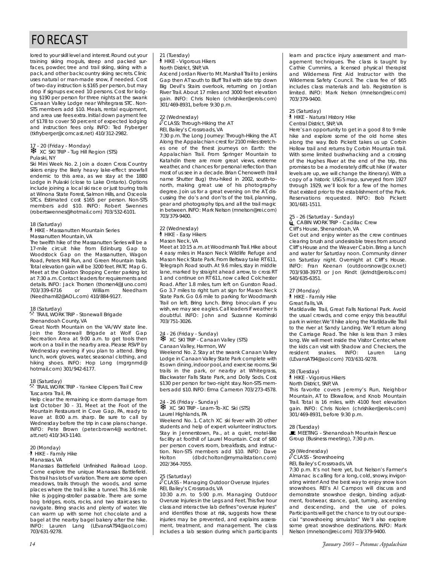lored to your skill level and interest.Round out your training skiing moguls, steep and packed surfaces, powder, tree and trail skiing, skiing with a pack, and other backcountry skiing secrets. Clinic uses natural or man-made snow, if needed. Cost of two-day instruction is \$165 per person, but may drop if signups exceed 10 persons. Cost for lodging \$190 per person for three nights at the swank Canaan Valley Lodge near Whitegrass STC. Non-STS members add \$10. Meals, rental equipment, and area use fees extra. Initial down payment fee of \$178 to cover 50 percent of expected lodging and instruction fees only. INFO: Ted Fryberger (tkfryberger@comcast.net) 410/312-2982.

#### 17 - 20 (Friday - Monday)

**※ XC SKI TRIP - Tug Hill Region (STS)** Pulaski, NY

Ski Mini Week No. 2. Join a dozen Cross Country skiers enjoy the likely heavy lake-effect snowfall endemic to this area, as we stay at the 1880 Lodge in Pulaski (close to Lake Ontario). Options include joining a local ski race or just touring trails at Winona State Forest, Salmon Hills, and Osceola STCs. Estimated cost \$165 per person. Non-STS members add \$10. INFO: Robert Swennes (robertswennes@hotmail.com) 703/532-6101.

#### 18 (Saturday)

` HIKE - Massanutten Mountain Series Massanutten Mountain, VA

The twelfth hike of the Massanutten Series will be a 17-mile circuit hike from Edinburg Gap to Woodstock Gap on the Massanutten, Wagon Road, Peters Mill Run, and Green Mountain trails. Total elevation gain will be 3200 feet. PATC Map G. Meet at the Oakton Shopping Center parking lot at 7:30 a.m. Contact leaders for requirements and details. INFO: Jack Thorsen (thorsen4@Juno.com)<br>703/339-6716 or William Needham 703/339-6716 or (Needham82@AOL.com) 410/884-9127.

#### 18 (Saturday)

16 (satulday)<br><sup>R</sup> TRAIL WORK TRIP - Stonewall Brigade Shenandoah County, VA

Great North Mountain on the VA/WV state line. Join the Stonewall Brigade at Wolf Gap Recreation Area at 9:00 a.m. to get tools then work on a trail in the nearby area. Please RSVP by Wednesday evening if you plan to attend. Bring lunch, work gloves, water, seasonal clothing, and hiking shoes. INFO: Hop Long (mgrgnmd@ hotmail.com) 301/942-6177.

#### 18 (Saturday)

10 (satulday)<br><sup>R</sup> TRAIL WORK TRIP - Yankee Clippers Trail Crew Tuscarora Trail, PA

Help clear the remaining ice storm damage from last October 30 - 31. Meet at the Foot of the Mountain Restaurant in Cove Gap, PA, ready to leave at 8:00 a.m. sharp. Be sure to call by Wednesday before the trip in case plans change. INFO: Pete Brown (peter.brown4@ worldnet. att.net) 410/343-1140.

20 (Monday)

#### ` HIKE - Family Hike

Manassas, VA

Manassas Battlefield Unfinished Railroad Loop. Come explore the unique Manassas Battlefield. This trail has lots of variation. There are some open meadows, trails through the woods, and some places where the trail is like a tunnel. This 3.6 mile hike is jogging-stroller passable. There are some bog bridges, roots, rocks, and two staircases to navigate. Bring snacks and plenty of water. We can warm up with some hot chocolate and a bagel at the nearby bagel bakery after the hike. INFO: Lauren Lang (LEvansAT94@aol.com) 703/631-9278.

### 21 (Tuesday)

` HIKE - Vigorous Hikers North District, SNP, VA

Ascend Jordan River to Mt.Marshall Trail to Jenkins Gap then AT south to Bluff Trail with side trip down Big Devil's Stairs overlook, returning on Jordan River Trail. About 17 miles and 3000 feet elevation gain. INFO: Chris Nolen (chrishiker@erols.com) 301/469-8931, before 9:30 p.m.

22 (Wednesday) aCLASS: Through-Hiking the AT REI, Bailey's Crossroads, VA

7:30 p.m. The Long Journey: Through-Hiking the AT. Along the Appalachian crest for 2100 miles stretches one of the finest journeys on Earth: the Appalachian Trail. From Springer Mountain to Katahdin there are more great views, extreme weather, and chances for personal reflection than most of us see in a decade. Brian Chenoweth (trail name Shutter Bug) thru-hiked in 2002, south-tonorth, making great use of his photography degree. Join us for a great evening on the AT, discussing the do's and don'ts of the trail, planning, gear and photography tips, and all the trail magic in between. INFO: Mark Nelson (mnelson@rei.com) 703/379-9400.

22 (Wednesday) ` HIKE - Easy Hikers

Mason Neck, VA

Meet at 10:15 a.m. at Woodmarsh Trail. Hike about 4 easy miles in Mason Neck Wildlife Refuge and Mason Neck State Park. From Beltway take RT 611, Telegraph Road south. At 9.6 miles, stay in middle lane, marked by straight ahead arrow, to cross RT 1 and continue on RT 611, now called Colchester Road. After 1.8 miles, turn left on Gunston Road. Go 3.7 miles to right turn at sign for Mason Neck State Park. Go 0.6 mile to parking for Woodmarsh Trail on left. Bring lunch. Bring binoculars if you wish, we may see eagles. Call leaders if weather is doubtful. INFO: John and Suzanne Kominski 703/751-3026.

#### 24 - 26 (Friday - Sunday)

**※ XC SKI TRIP - Canaan Valley (STS)** Canaan Valley, Harmon, WV

Weekend No. 2. Stay at the swank Canaan Valley Lodge in Canaan Valley State Park complete with its own dining, indoor pool, and exercise rooms. Ski trails in the park, or nearby at Whitegrass, Blackwater Falls State Park, and Dolly Sods. Cost \$130 per person for two-night stay. Non-STS members add \$10. INFO: Erma Cameron 703/273-4578.

24 - 26 (Friday - Sunday) ❄ XC SKI TRIP - Learn-To-XC Ski (STS)

Laurel Highlands, PA

Weekend No. 1. Catch XC ski fever with 20 other students and help of expert volunteer instructors. Stay in Jennerstown, Pa., at a quiet, motel-like facility at foothill of Laurel Mountain. Cost of \$80 per person covers room, breakfasts, and instruction. Non-STS members add \$10. INFO: Dave Holton (dbdcholton@mymailstation.com) 202/364-7055.

25 (Saturday) aCLASS - Managing Outdoor Overuse Injuries REI, Bailey's Crossroads, VA

10:30 a.m. to 5:00 p.m. Managing Outdoor Overuse Injuries in the Legs and Feet.This five hour class and interactive lab defines "overuse injuries" and identifies those at risk, suggests how these injuries may be prevented, and explains assessment, treatment, and management. The class includes a lab session during which participants learn and practice injury assessment and management techniques. The class is taught by Cathie Cummins, a licensed physical therapist and Wilderness First Aid Instructor with the Wilderness Safety Council. The class fee of \$65 includes class materials and lab. Registration is limited. INFO: Mark Nelson (mnelson@rei.com) 703/379-9400.

25 (Saturday) ` HIKE - Natural History Hike Central District, SNP VA

Here's an opportunity to get in a good 8 to 9 mile hike and explore some of the old home sites along the way. Bob Pickett takes us up Corbin Hollow trail and returns by Corbin Mountain trail. With some limited bushwhacking and a crossing of the Hughes River at the end of the trip, this promises to be a moderately difficult hike (if water levels are up, we will change the itinerary). With a copy of a historic USGS map, surveyed from 1927 through 1929, we'll look for a few of the homes that existed prior to the establishment of the Park. Reservations requested. INFO: Bob Pickett 301/681-1511.

25 - 26 (Saturday - Sunday)

CABIN WORK TRIP - Cadillac Crew Cliff's House, Shenandoah, VA

Get out and enjoy winter as the crew continues clearing brush and undesirable trees from around Cliff's House and the Weaver Cabin. Bring a lunch and water for Saturday noon. Community dinner on Saturday night. Overnight at Cliff's House. INFO: Fran Keenan (outdoorsnow@cox.net) 703/938-3973 or Jon Rindt (jkrindt@erols.com) 540/635-6351.

27 (Monday)

**\*** HIKE - Family Hike Great Falls, VA

Matildaville Trail, Great Falls National Park. Avoid the usual crowds, and come enjoy this beautiful park in winter.We'll hike along the Matildaville Trail to the river at Sandy Landing. We'll return along the Carriage Road. The hike is less than 3 miles long. We will meet inside the Visitor Center, where the kids can visit with Shadow and Checkers, the resident snakes. INFO: Lauren Lang (LEvansAT94@aol.com) 703/631-9278.

28 (Tuesday)

**A** HIKE - Vigorous Hikers

North District, SNP, VA

This favorite covers Jeremy's Run, Neighbor Mountain, AT to Elkwallow, and Knob Mountain Trail. Total is 16 miles, with 4100 feet elevation gain. INFO: Chris Nolen (chrishiker@erols.com) 301/469-8931, before 9:30 p.m.

28 (Tuesday)

 $\blacksquare$  MEETING - Shenandoah Mountain Rescue Group (Business meeting), 7:30 p.m.

#### 29 (Wednesday)

 $\nu$  CLASS - Snowshoeing

REI, Bailey's Crossroads, VA

7:30 p.m. It's not here yet, but Nelson's Farmer's Almanac is calling for a long, cold, snowy, invigorating winter! And the best way to enjoy snow is on snowshoes. REI's Al Campos will discuss and demonstrate snowshoe design, binding adjustment, footwear, stance, gait, turning, ascending and descending, and the use of poles. Participants will get the chance to try out our special "snowshoeing simulator." We'll also explore some great snowshoe destinations. INFO: Mark Nelson (mnelson@rei.com) 703/379-9400.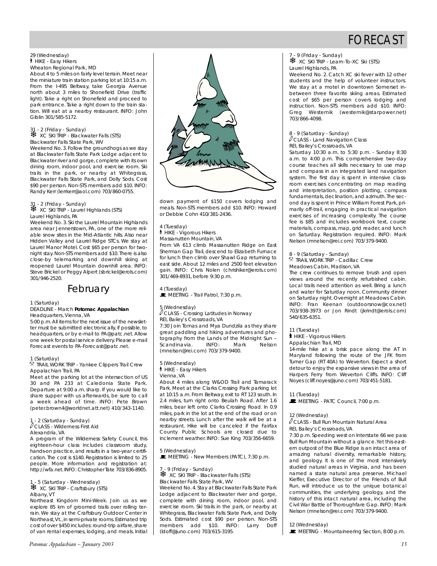#### 29 (Wednesday) ` HIKE - Easy Hikers Wheaton Regional Park, MD

About 4 to 5 miles on fairly level terrain. Meet near the miniature train station parking lot at 10:15 a.m. From the I-495 Beltway, take Georgia Avenue north about 3 miles to Shonefield Drive (traffic light). Take a right on Shonefield and proceed to park entrance. Take a right down to the train station. Will eat at a nearby restaurant. INFO: John Giblin 301/585-5172.

#### 31 - 2 (Friday - Sunday)

❄ XC SKI TRIP - Blackwater Falls (STS) Blackwater Falls State Park, WV

Weekend No. 3. Follow the groundhogs as we stay at Blackwater Falls State Park Lodge adjacent to Blackwater river and gorge,complete with its own dining room, indoor pool, and exercise room. Ski trails in the park, or nearby at Whitegrass, Blackwater Falls State Park, and Dolly Sods. Cost \$90 per person. Non-STS members add \$10. INFO: Randy Kerr (lerrkerr@aol.com) 703/860-0755.

31 - 2 (Friday - Sunday) ❄ XC SKI TRIP - Laurel Highlands (STS) Laurel Highlands, PA

Weekend No. 3. Ski the Laurel Mountain Highlands area near Jennerstown, PA, one of the more reliable snow sites in the Mid-Atlantic hills. Also near Hidden Valley and Laurel Ridge STCs. We stay at Laurel Manor Motel. Cost \$65 per person for twonight stay. Non-STS members add \$10.There is also close-by telemarking and downhill skiing at reopened Laurel Mountain downhill area. INFO: Steve Brickel or Peggy Alpert (sbrickel@erols.com) 301/946-2520.

# February

#### 1 (Saturday)

DEADLINE - March *Potomac Appalachian* Headquarters, Vienna, VA

5:00 p.m.All items for the next issue of the newsletter must be submitted electronically, if possible, to headquarters, or by e-mail to PA@patc.net. Allow one week for postal service delivery. Please e-mail Forecast events to PA-Forecast@patc.net.

#### 1 (Saturday)

1 (Saturday)<br><sup>R</sup> TRAIL WORK TRIP - Yankee Clippers Trail Crew Appalachian Trail, PA

Meet at the parking lot at the intersection of US 30 and PA 233 at Caledonia State Park. Departure at 9:00 a.m. sharp. If you would like to share supper with us afterwards, be sure to call a week ahead of time. INFO: Pete Brown (peter.brown4@worldnet.att.net) 410/343-1140.

1 - 2 (Saturday - Sunday) aCLASS - Wilderness First Aid Alexandria, VA

A program of the Wilderness Safety Council, this eighteen-hour class includes classroom study, hands-on practice, and results in a two-year certification. The cost is \$140. Registration is limited to 25 people. More information and registration at: http://wfa.net.INFO: Christopher Tate 703/836-8905.

1 - 5 (Saturday - Wednesday)

❄ XC SKI TRIP - Craftsbury (STS) Albany, VT

Northeast Kingdom Mini-Week. Join us as we explore 85 km of groomed trails over rolling terrain. We stay at the Craftsbury Outdoor Center in Northeast,Vt.,in semi-private rooms.Estimated trip cost of over \$450 includes: round-trip airfare,share of van rental expenses, lodging, and meals. Initial



down payment of \$150 covers lodging and meals. Non-STS members add \$10. INFO: Howard or Debbie Cohn 410/381-2436.

4 (Tuesday)

## **A** HIKE - Vigorous Hikers

Massanutten Mountain, VA From VA 613 climb Massanutten Ridge on East Sherman Gap Trail, descend to Elizabeth Furnace for lunch then climb over Shawl Gap returning to east side. About 12 miles and 2500 feet elevation gain. INFO: Chris Nolen (chrishiker@erols.com) 301/469-8931, before 9:30 p.m.

4 (Tuesday)  $\blacksquare$  MEETING - Trail Patrol, 7:30 p.m.

5 (Wednesday) aCLASS - Crossing Latitudes in Norway

REI, Bailey's Crossroads, VA 7:30 Join Tomas and Mya Dundzila as they share great paddling and hiking adventures and photography from the Lands of the Midnight Sun – Scandinavia. INFO: Mark Nelson (mnelson@rei.com) 703/379-9400.

5 (Wednesday) ` HIKE - Easy Hikers

Vienna, VA

About 4 miles along W&OD Trail and Tamarack Park. Meet at the Clarks Crossing Park parking lot at 10:15 a.m. From Beltway, exit to RT 123 south. In 2.4 miles, turn right onto Beulah Road. After 1.6 miles, bear left onto Clarks Crossing Road. In 0.9 miles, park in the lot at the end of the road or on nearby streets. Lunch after the walk will be at a restaurant. Hike will be canceled if the Fairfax County Public Schools are closed due to inclement weather. INFO: Sue King 703/356-6659.

#### 5 (Wednesday)

 $\mathbf{\dot{E}}$  MEETING - New Members (PATC), 7:30 p.m.

7 - 9 (Friday - Sunday) ❄ XC SKI TRIP - Blackwater Falls (STS) Blackwater Falls State Park, WV

Weekend No. 4. Stay at Blackwater Falls State Park Lodge adjacent to Blackwater river and gorge, complete with dining room, indoor pool, and exercise room. Ski trails in the park, or nearby at Whitegrass, Blackwater Falls State Park, and Dolly Sods. Estimated cost \$90 per person. Non-STS members add \$10. INFO: Larry Doff (ldoff@juno.com) 703/615-3195.

### 7 - 9 (Friday - Sunday)

**※ XC SKI TRIP - Learn-To-XC Ski (STS)** Laurel Highlands, PA

Weekend No. 2. Catch XC ski fever with 12 other students and the help of volunteer instructors. We stay at a motel in downtown Somerset inbetween three favorite skiing areas. Estimated cost of \$65 per person covers lodging and instruction. Non-STS members add \$10. INFO: Greg Westernik (westernik@starpower.net) 703/866-4098.

### 8 - 9 (Saturday - Sunday)  $\ell$  CLASS - Land Navigation Class

REI, Bailey's Crossroads, VA

Saturday 10:30 a.m. to 5:30 p.m. - Sunday 8:30 a.m. to 4:00 p.m. This comprehensive two-day course teaches all skills necessary to use map and compass in an integrated land navigation system. The first day is spent in intensive classroom exercises concentrating on map reading and interpretation, position plotting, compass fundamentals, declination, and azimuth.The second day is spent in Prince William Forest Park, primarily off-trail, engaging in practical navigation exercises of increasing complexity. The course fee is \$85 and includes workbook text, course materials, compass, map, grid reader, and lunch on Saturday. Registration required. INFO: Mark Nelson (mnelson@rei.com) 703/379-9400.

8 - 9 (Saturday - Sunday)

o - , Gaturday - Sunday)<br><sup>R</sup> TRAIL WORK TRIP - Cadillac Crew

Meadows Cabin, Madison, VA

The crew continues to remove brush and open views around the recently refurbished cabin. Local trails need attention as well. Bring a lunch and water for Saturday noon. Community dinner on Saturday night. Overnight at Meadows Cabin. INFO: Fran Keenan (outdoorsnow@cox.net) 703/938-3973 or Jon Rindt (jkrindt@erols.com) 540/635-6351.

11 (Tuesday)

**N** HIKE - Vigorous Hikers

Appalachian Trail, MD

14-mile hike at a brisk pace along the AT in Maryland following the route of the JFK from Turner Gap (RT 40A) to Weverton. Expect a short detour to enjoy the expansive views in the area of Harpers Ferry from Weverton Cliffs. INFO: Cliff Noyes (cliff.noyes@juno.com) 703/451-5181.

11 (Tuesday)

 $\blacksquare$  MEETING - PATC Council, 7:00 p.m.

#### 12 (Wednesday)

 $\ell$  CLASS - Bull Run Mountain Natural Area

REI, Bailey's Crossroads, VA

7:30 p.m. Speeding west on Interstate 66 we pass Bull Run Mountain without a glance.Yet this eastern outpost of the Blue Ridge is an intact area of amazing natural diversity, remarkable history, and geology. It is one of the most intensively studied natural areas in Virginia, and has been named a state natural area preserve. Michael Kieffer, Executive Director of the Friends of Bull Run, will introduce us to the unique botanical communities, the underlying geology, and the history of this intact natural area, including the Civil War Battle of Thoroughfare Gap. INFO: Mark Nelson (mnelson@rei.com) 703/379-9400.

12 (Wednesday)

\ MEETING - Mountaineering Section, 8:00 p.m.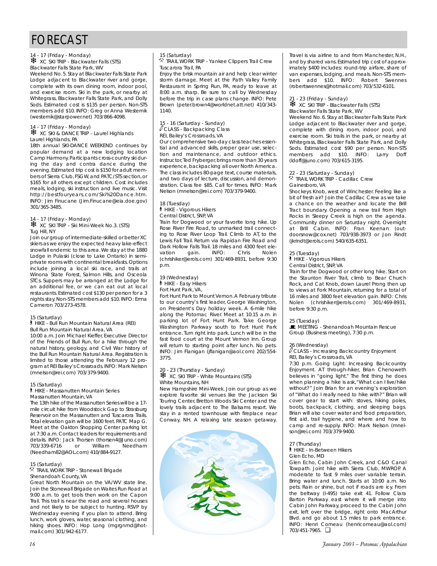14 - 17 (Friday - Monday) ❄ XC SKI TRIP - Blackwater Falls (STS) Blackwater Falls State Park, WV

Weekend No. 5. Stay at Blackwater Falls State Park Lodge adjacent to Blackwater river and gorge, complete with its own dining room, indoor pool, and exercise room. Ski in the park, or nearby at Whitegrass, Blackwater Falls State Park, and Dolly Sods. Estimated cost is \$135 per person. Non-STS members add \$10. INFO: Greg or Anna Westernik (westernik@starpower.net) 703/866-4098.

#### 14 - 17 (Friday - Monday)

**\*\*** XC SKI & DANCE TRIP - Laurel Highlands Laurel Highlands, PA

18th annual SKI-DANCE WEEKEND continues by popular demand at a new lodging location Camp Harmony.Participants cross-country ski during the day and contra dance during the evening. Estimated trip cost is \$150 for adult members of Sierra Club, FSGW, and PATC/STS section, or \$165 for all others except children. Cost includes meals, lodging, ski instruction and live music. Visit http://bestfouryears.com/Ski%20Dance.htm. INFO: Jim Finucane (Jim.Finucane@eia.doe.gov) 301/365-3485.

14 - 17 (Friday - Monday)

**※ XC SKI TRIP - Ski Mini-Week No.3. (STS)** Tug Hill, NY

Join our group of intermediate-skilled or better XC skiers as we enjoy the expected heavy lake-effect snowfall endemic to this area.We stay at the 1880 Lodge in Pulaski (close to Lake Ontario) in semiprivate rooms with continental breakfasts. Options include joining a local ski race, and trails at Winona State Forest, Salmon Hills, and Osceola STCs. Suppers may be arranged at the Lodge for an additional fee, or we can eat out at local restaurants. Estimated cost \$130 per person for a 3 nights stay. Non-STS members add \$10. INFO: Erma Cameron 703/273-4578.

#### 15 (Saturday)

` HIKE - Bull Run Mountain Natural Area (REI) Bull Run Mountain Natural Area, VA

10:00 a.m. Join Michael Kieffer, Executive Director of the Friends of Bull Run, for a hike through the natural history, geology, and Civil War history of the Bull Run Mountain Natural Area. Registration is limited to those attending the February 12 program at REI Bailey's Crossroads.INFO: Mark Nelson (mnelson@rei.com) 703/379-9400.

#### 15 (Saturday)

**A** HIKE - Massanutten Mountain Series Massanutten Mountain, VA

The 13th hike of the Massanutten Series will be a 17 mile circuit hike from Woodstock Gap to Strasburg Reservoir on the Massanutten and Tuscarora Trails. Total elevation gain will be 1600 feet. PATC Map G. Meet at the Oakton Shopping Center parking lot at 7:30 a.m. Contact leaders for requirements and details. INFO: Jack Thorsen (thorsen4@Juno.com)<br>703/339-6716 or William Needham 703/339-6716 or (Needham82@AOL.com) 410/884-9127.

#### 15 (Saturday)

15 (satulday)<br><sup>R</sup> TRAIL WORK TRIP - Stonewall Brigade Shenandoah County, VA

Great North Mountain on the VA/WV state line. Join the Stonewall Brigade on Waites Run Road at 9:00 a.m. to get tools then work on the Capon Trail. This trail is near the road and several houses and not likely to be subject to hunting. RSVP by Wednesday evening if you plan to attend. Bring lunch, work gloves, water, seasonal clothing, and hiking shoes. INFO: Hop Long (mgrgnmd@hotmail.com) 301/942-6177.

#### 15 (Saturday)

15 (saturday)<br><sup>R</sup> TRAIL WORK TRIP - Yankee Clippers Trail Crew Tuscarora Trail, PA

Enjoy the brisk mountain air and help clear winter storm damage. Meet at the Path Valley Family Restaurant in Spring Run, PA, ready to leave at 8:00 a.m. sharp. Be sure to call by Wednesday before the trip in case plans change. INFO: Pete Brown (peter.brown4@worldnet.att.net) 410/343- 1140.

15 - 16 (Saturday - Sunday) aCLASS - Backpacking Class

REI, Bailey's Crossroads, VA

Our comprehensive two-day class teaches essential and advanced skills, proper gear use, selection and maintenance, and outdoor ethics. Instructor,Ted Fryberger,brings more than 30 years experience, backpacking all over North America. The class includes 80-page text, course materials, and two days of lecture, discussion, and demonstration. Class fee \$85. Call for times. INFO: Mark Nelson (mnelson@rei.com) 703/379-9400.

#### 18 (Tuesday)

**A** HIKE - Vigorous Hikers

Central District, SNP, VA

Train for Dogwood or your favorite long hike. Up Rose River Fire Road, to unmarked trail connecting to Rose River Loop Trail. Climb to AT, to the Lewis Fall Trail. Return via Rapidan Fire Road and Dark Hollow Falls Trail. 18 miles and 4300 feet elevation gain. INFO: Chris Nolen (chrishiker@erols.com) 301/469-8931, before 9:30 p.m.

19 (Wednesday)

**A** HIKE - Easy Hikers

Fort Hunt Park, VA,

Fort Hunt Park to Mount Vernon. A February tribute to our country's first leader, George Washington, on President's Day holiday week. A 6-mile hike along the Potomac River. Meet at 10:15 a.m. in parking lot of Fort Hunt Park. Take George Washington Parkway south to Fort Hunt Park entrance. Turn right into park. Lunch will be in the fast food court at the Mount Vernon Inn. Group will return to starting point after lunch. No pets. INFO: Jim Flanigan (jflanigan@aol.com) 202/554- 3775.

#### 20 - 23 (Thursday - Sunday)

**WE XC SKI TRIP - White Mountains (STS)** White Mountains, NH

New Hampshire Mini-Week. Join our group as we explore favorite ski venues like the Jackson Ski Touring Center, Bretton Woods Ski Center and the lovely trails adjacent to The Balsams resort. We stay in a rented townhouse with fireplace near Conway, NH. A relaxing late season getaway.



Travel is via airline to and from Manchester, N.H. and by shared vans.Estimated trip cost of approximately \$400 includes: round-trip airfare, share of van expenses, lodging, and meals. Non-STS members add \$10. INFO: Robert Swennes (robertswennes@hotmail.com) 703/532-6101.

21 - 23 (Friday - Sunday) ❄ XC SKI TRIP - Blackwater Falls (STS) Blackwater Falls State Park, WV

Weekend No. 6. Stay at Blackwater Falls State Park Lodge adjacent to Blackwater river and gorge, complete with dining room, indoor pool, and exercise room. Ski trails in the park, or nearby at Whitegrass, Blackwater Falls State Park, and Dolly Sods. Estimated cost \$90 per person. Non-STS members add \$10. INFO: Larry Doff (ldoff@juno.com) 703/615-3195.

22 - 23 (Saturday - Sunday)

22 - 23 (salulday - sunday)<br><sup>R</sup> TRAIL WORK TRIP - Cadillac Crew Gainesboro, VA

Shockeys Knob, west of Winchester. Feeling like a bit of fresh air? Join the Cadillac Crew as we take a chance on the weather and locate the Brill Tract boundary. Opening a new trail from High Rocks in Sleepy Creek is high on the agenda. Community dinner on Saturday night. Overnight at Brill Cabin. INFO: Fran Keenan (outdoorsnow@cox.net) 703/938-3973 or Jon Rindt (jkrindt@erols.com) 540/635-6351.

#### 25 (Tuesday)

` HIKE - Vigorous Hikers

Central District, SNP, VA

Train for the Dogwood or other long hike. Start on the Staunton River Trail, climb to Bear Church Rock, and Cat Knob, down Laurel Prong then up to views at Fork Mountain, returning for a total of 16 miles and 3800 feet elevation gain. INFO: Chris Nolen (chrishiker@erols.com) 301/469-8931, before 9:30 p.m.

25 (Tuesday)

**De (Geboor),<br>E** MEETING - Shenandoah Mountain Rescue Group (Business meeting), 7:30 p.m.

#### 6 (Wednesday)

 $\ell$  CLASS - Increasing Backcountry Enjoyment REI, Bailey's Crossroads, VA

7:30 p.m. Going Light: Increasing Backcountry Enjoyment. AT through-hiker, Brian Chenoweth believes in "going light." The first thing he does when planning a hike is ask, "What can I live/hike without?" Join Brian for an evening's exploration of "What do I really need to hike with?" Brian will cover gear to start with: stoves, hiking poles, boots, backpack, clothing, and sleeping bags. Brian will also cover water and food preparation, first aid, trail hygiene, and where and how to camp and re-supply. INFO: Mark Nelson (mnelson@rei.com) 703/379-9400.

#### 27 (Thursday)

` HIKE - In-Between Hikers Glen Echo, MD

Glen Echo, Cabin John Creek, and C&O Canal Towpath. Joint hike with Sierra Club, MWROP. A moderate to fast 9 miles over variable terrain. Bring water and lunch. Starts at 10:00 a.m. No pets. Rain or shine, but not if roads are icy. From the beltway (I-495) take exit 41. Follow Clara Barton Parkway east where it will merge into Cabin John Parkway, proceed to the Cabin John exit, left over the bridge, right onto MacArthur Blvd. and go about 1.5 miles to park entrance. INFO: Henri Comeau (henricomeau@aol.com) 703/451-7965. ❏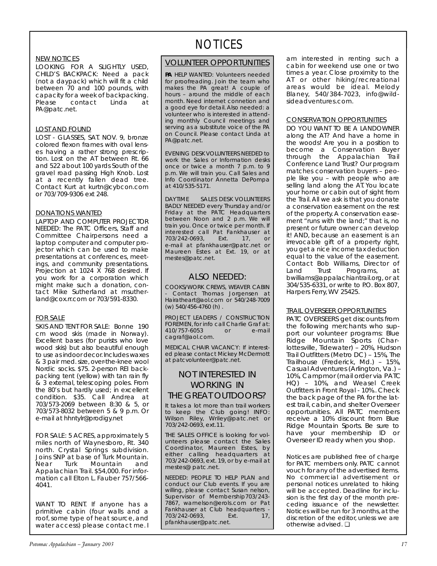### NEW NOTICES

LOOKING FOR A SLIGHTLY USED, CHILD'S BACKPACK: Need a pack (not a daypack) which will fit a child between 70 and 100 pounds, with capacity for a week of backpacking.<br>Please contact Linda at contact PA@patc.net.

### LOST AND FOUND

LOST - GLASSES, SAT. NOV. 9, bronze colored flexon frames with oval lenses having a rather strong prescription. Lost on the AT between Rt. 66 and 522 about 100 yards South of the gravel road passing High Knob. Lost at a recently fallen dead tree. Contact Kurt at kurtn@cybcon.com or 703/709-9306 ext 248.

### DONATIONS WANTED

LAPTOP AND COMPUTER PROJECTOR NEEDED: The PATC Officers, Staff and Committee Chairpersons need a laptop computer and computer projector which can be used to make presentations at conferences, meetings, and community presentations. Projection at 1024 X 768 desired. If you work for a corporation which might make such a donation, contact Mike Sutherland at msutherland@cox.rr.com or 703/591-8330.

### FOR SALE

SKIS AND TENT FOR SALE: Bonne 190 cm wood skis (made in Norway). Excellent bases (for purists who love wood skis) but also beautiful enough to use as indoor decor.Includes waxes & 3 pair med. size, over-the-knee wool Nordic socks. \$75. 2-person REI backpacking tent (yellow) with tan rain fly & 3 external, telescoping poles. From the 80's but hardly used; in excellent condition. \$35. Call Andrea at 703/573-2069 between 8:30 & 5, or 703/573-8032 between 5 & 9 p.m. Or e-mail at hhntylr@prodigy.net

FOR SALE: 5 ACRES, approximately 5 miles north of Waynesboro, Rt. 340 north. Crystal Springs subdivision. Joins SNP at base of Turk Mountain.<br>Near Turk Mountain and Near Turk Mountain and Appalachian Trail. \$54,000. For information call Elton L. Fauber 757/566-4041.

WANT TO RENT. If anyone has a primitive cabin (four walls and a roof, some type of heat source, and water access) please contact me. I

### VOLUNTEER OPPORTUNITIES

*PA* HELP WANTED: Volunteers needed for proofreading. Join the team who makes the *PA* great! A couple of hours – around the middle of each month. Need internet connetion and a good eye for detail. Also needed: a volunteer who is interested in attending monthly Council meetings and serving as a substitute voice of the *PA* on Council. Please contact Linda at PA@patc.net.

EVENING DESK VOLUNTEERS NEEDED to work the Sales or Information desks once or twice a month 7 p.m. to 9 p.m. We will train you. Call Sales and Info Coordinator Annetta DePompa at 410/535-5171.

DAYTIME SALES DESK VOLUNTEERS BADLY NEEDED every Thursday and/or Friday at the PATC Headquarters between Noon and 2 p.m. We will train you. Once or twice per month. If interested call Pat Fankhauser at<br>703/242-0693. Fxt. 17, or  $703/242-0693$ , Ext. 17, e-mail at pfankhauser@patc.net or Maureen Estes at Ext. 19, or at mestes@patc.net.

## ALSO NEEDED:

COOKS/WORK CREWS, WEAVER CABIN Contact Thomas Jorgensen at Hairatheart@aol.com or 540/248-7009 (w) 540/456-4760 (h) .

PROJECT LEADERS / CONSTRUCTION FOREMEN, for info call Charlie Graf at: 410/757-6053 or e-mail cagraf@aol.com.

MEDICAL CHAIR VACANCY: If interested please contact Mickey McDermott at patcvolunteer@patc.net.

# NOT INTERESTED IN WORKING IN THE GREAT OUTDOORS?

It takes a lot more than trail workers to keep the Club going! INFO: Wilson Riley, Wriley@patc.net or 703/242-0693, ext.11.

THE SALES OFFICE is looking for volunteers please contact the Sales Coordinator, Maureen Estes, by either calling headquarters at 703/242-0693, ext. 19, or by e-mail at mestes@ patc.net.

NEEDED: PEOPLE TO HELP PLAN and conduct our Club events. If you are willing, please contact Susan nelson, Supervisor of Membership703/243- 7867, warnelson@erols.com or Pat Fankhauser at Club headquarters -<br>703/242-0693 Fxt 17 703/242-0693. pfankhauser@patc.net.

am interested in renting such a cabin for weekend use one or two times a year. Close proximity to the AT or other hiking/recreational areas would be ideal. Melody Blaney, 540/384-7023, info@wildsideadventures.com.

### CONSERVATION OPPORTUNITIES

DO YOU WANT TO BE A LANDOWNER along the AT? And have a home in the woods! Are you in a position to become a Conservation Buyer through the Appalachian Trail Conference Land Trust? Our program matches conservation buyers – people like you – with people who are selling land along the AT. You locate your home or cabin out of sight from the Trail. All we ask is that you donate a conservation easement on the rest of the property. A conservation easement "runs with the land;" that is, no present or future owner can develop it! AND, because an easement is an irrevocable gift of a property right, you get a nice income tax deduction equal to the value of the easement. Contact Bob Williams, Director of<br>Land Trust Programs, at Programs, at bwilliams@appalachiantrail.org, or at 304/535-6331, or write to P.O. Box 807, Harpers Ferry, WV 25425.

### TRAIL OVERSEER OPPORTUNITIES

PATC OVERSEERS get discounts from the following merchants who support our volunteer programs: Blue Ridge Mountain Sports (Charlottesville, Tidewater) – 20%, Hudson Trail Outfitters (Metro DC) – 15%, The Trailhouse (Frederick, Md.) – 15%, Casual Adventures (Arlington, Va.) – 10%, Campmor (mail order via PATC HQ) – 10%, and Weasel Creek Outfitters in Front Royal - 10%.. Check the back page of the *PA* for the latest trail, cabin, and shelter Overseer opportunities. All PATC members receive a 10% discount from Blue Ridge Mountain Sports. Be sure to have your membership ID or Overseer ID ready when you shop.

*Notices are published free of charge for PATC members only. PATC cannot vouch for any of the advertised items. No commercial advertisement or personal notices unrelated to hiking will be accepted. Deadline for inclusion is the first day of the month preceding issuance of the newsletter. Notices will be run for 3 months, at the discretion of the editor, unless we are otherwise advised.* ❏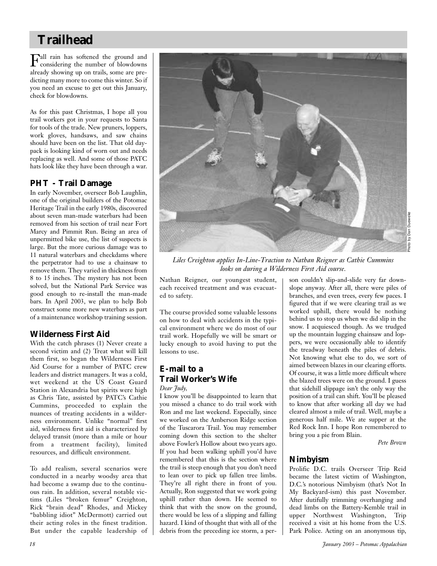# **Trailhead**

Fall rain has softened the ground and considering the number of blowdowns already showing up on trails, some are predicting many more to come this winter. So if you need an excuse to get out this January, check for blowdowns.

As for this past Christmas, I hope all you trail workers got in your requests to Santa for tools of the trade. New pruners, loppers, work gloves, handsaws, and saw chains should have been on the list. That old daypack is looking kind of worn out and needs replacing as well. And some of those PATC hats look like they have been through a war.

## **PHT - Trail Damage**

In early November, overseer Bob Laughlin, one of the original builders of the Potomac Heritage Trail in the early 1980s, discovered about seven man-made waterbars had been removed from his section of trail near Fort Marcy and Pimmit Run. Being an area of unpermitted bike use, the list of suspects is large. But the more curious damage was to 11 natural waterbars and checkdams where the perpetrator had to use a chainsaw to remove them. They varied in thickness from 8 to 15 inches. The mystery has not been solved, but the National Park Service was good enough to re-install the man-made bars. In April 2003, we plan to help Bob construct some more new waterbars as part of a maintenance workshop training session.

# **Wilderness First Aid**

With the catch phrases (1) Never create a second victim and (2) Treat what will kill them first, so began the Wilderness First Aid Course for a number of PATC crew leaders and district managers. It was a cold, wet weekend at the US Coast Guard Station in Alexandria but spirits were high as Chris Tate, assisted by PATC's Cathie Cummins, proceeded to explain the nuances of treating accidents in a wilderness environment. Unlike "normal" first aid, wilderness first aid is characterized by delayed transit (more than a mile or hour from a treatment facility), limited resources, and difficult environment.

To add realism, several scenarios were conducted in a nearby woodsy area that had become a swamp due to the continuous rain. In addition, several notable victims (Liles "broken femur" Creighton, Rick "brain dead" Rhodes, and Mickey "babbling idiot" McDermott) carried out their acting roles in the finest tradition. But under the capable leadership of



*Liles Creighton applies In-Line-Traction to Nathan Reigner as Cathie Cummins looks on during a Wilderness First Aid course.*

Nathan Reigner, our youngest student, each received treatment and was evacuated to safety.

The course provided some valuable lessons on how to deal with accidents in the typical environment where we do most of our trail work. Hopefully we will be smart or lucky enough to avoid having to put the lessons to use.

# **E-mail to a Trail Worker's Wife**

### *Dear Judy,*

I know you'll be disappointed to learn that you missed a chance to do trail work with Ron and me last weekend. Especially, since we worked on the Amberson Ridge section of the Tuscarora Trail. You may remember coming down this section to the shelter above Fowler's Hollow about two years ago. If you had been walking uphill you'd have remembered that this is the section where the trail is steep enough that you don't need to lean over to pick up fallen tree limbs. They're all right there in front of you. Actually, Ron suggested that we work going uphill rather than down. He seemed to think that with the snow on the ground, there would be less of a slipping and falling hazard. I kind of thought that with all of the debris from the preceding ice storm, a person couldn't slip-and-slide very far downslope anyway. After all, there were piles of branches, and even trees, every few paces. I figured that if we were clearing trail as we worked uphill, there would be nothing behind us to stop us when we did slip in the snow. I acquiesced though. As we trudged up the mountain lugging chainsaw and loppers, we were occasionally able to identify the treadway beneath the piles of debris. Not knowing what else to do, we sort of aimed between blazes in our clearing efforts. Of course, it was a little more difficult where the blazed trees were on the ground. I guess that sidehill slippage isn't the only way the position of a trail can shift. You'll be pleased to know that after working all day we had cleared almost a mile of trail. Well, maybe a generous half mile. We ate supper at the Red Rock Inn. I hope Ron remembered to bring you a pie from Blain.

*Pete Brown*

## **Nimbyism**

Prolific D.C. trails Overseer Trip Reid became the latest victim of Washington, D.C.'s notorious Nimbyism (that's Not In My Backyard-ism) this past November. After dutifully trimming overhanging and dead limbs on the Battery-Kemble trail in upper Northwest Washington, Trip received a visit at his home from the U.S. Park Police. Acting on an anonymous tip,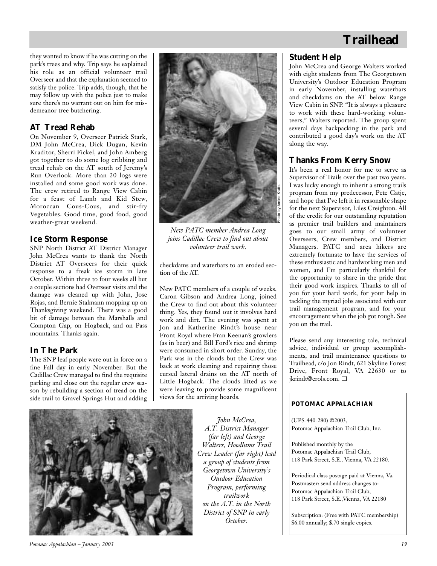# **Trailhead**

they wanted to know if he was cutting on the park's trees and why. Trip says he explained his role as an official volunteer trail Overseer and that the explanation seemed to satisfy the police. Trip adds, though, that he may follow up with the police just to make sure there's no warrant out on him for misdemeanor tree butchering.

### **AT Tread Rehab**

On November 9, Overseer Patrick Stark, DM John McCrea, Dick Dugan, Kevin Kraditor, Sherri Fickel, and John Amberg got together to do some log cribbing and tread rehab on the AT south of Jeremy's Run Overlook. More than 20 logs were installed and some good work was done. The crew retired to Range View Cabin for a feast of Lamb and Kid Stew, Moroccan Cous-Cous, and stir-fry Vegetables. Good time, good food, good weather-great weekend.

### **Ice Storm Response**

SNP North District AT District Manager John McCrea wants to thank the North District AT Overseers for their quick response to a freak ice storm in late October. Within three to four weeks all but a couple sections had Overseer visits and the damage was cleaned up with John, Jose Rojas, and Bernie Stalmann mopping up on Thanksgiving weekend. There was a good bit of damage between the Marshalls and Compton Gap, on Hogback, and on Pass mountains. Thanks again.

### **In The Park**

The SNP leaf people were out in force on a fine Fall day in early November. But the Cadillac Crew managed to find the requisite parking and close out the regular crew season by rebuilding a section of tread on the side trail to Gravel Springs Hut and adding



*New PATC member Andrea Long joins Cadillac Crew to find out about volunteer trail work.*

checkdams and waterbars to an eroded section of the AT.

New PATC members of a couple of weeks, Caron Gibson and Andrea Long, joined the Crew to find out about this volunteer thing. Yes, they found out it involves hard work and dirt. The evening was spent at Jon and Katherine Rindt's house near Front Royal where Fran Keenan's growlers (as in beer) and Bill Ford's rice and shrimp were consumed in short order. Sunday, the Park was in the clouds but the Crew was back at work cleaning and repairing those cursed lateral drains on the AT north of Little Hogback. The clouds lifted as we were leaving to provide some magnificent views for the arriving hoards.

> *John McCrea, A.T. District Manager (far left) and George Walters, Hoodlums Trail*

*a group of students from Georgetown University's Outdoor Education Program, performing trailwork on the A.T. in the North District of SNP in early October.*



*Potomac Appalachian – January 2003 19*

Published monthly by the Potomac Appalachian Trail Club, 118 Park Street, S.E., Vienna, VA 22180.

Periodical class postage paid at Vienna, Va. Postmaster: send address changes to: Potomac Appalachian Trail Club, 118 Park Street, S.E.,Vienna, VA 22180

Subscription: (Free with PATC membership) \$6.00 annually; \$.70 single copies.

### **Student Help**

John McCrea and George Walters worked with eight students from The Georgetown University's Outdoor Education Program in early November, installing waterbars and checkdams on the AT below Range View Cabin in SNP. "It is always a pleasure to work with these hard-working volunteers," Walters reported. The group spent several days backpacking in the park and contributed a good day's work on the AT along the way.

### **Thanks From Kerry Snow**

It's been a real honor for me to serve as Supervisor of Trails over the past two years. I was lucky enough to inherit a strong trails program from my predecessor, Pete Gatje, and hope that I've left it in reasonable shape for the next Supervisor, Liles Creighton. All of the credit for our outstanding reputation as premier trail builders and maintainers goes to our small army of volunteer Overseers, Crew members, and District Managers. PATC and area hikers are extremely fortunate to have the services of these enthusiastic and hardworking men and women, and I'm particularly thankful for the opportunity to share in the pride that their good work inspires. Thanks to all of you for your hard work, for your help in tackling the myriad jobs associated with our trail management program, and for your encouragement when the job got rough. See you on the trail.

Please send any interesting tale, technical advice, individual or group accomplishments, and trail maintenance questions to Trailhead, c/o Jon Rindt, 621 Skyline Forest Drive, Front Royal, VA 22630 or to jkrindt@erols.com. ❏

### *POTOMAC APPALACHIAN*

(UPS-440-280) ©2003, Potomac Appalachian Trail Club, Inc.